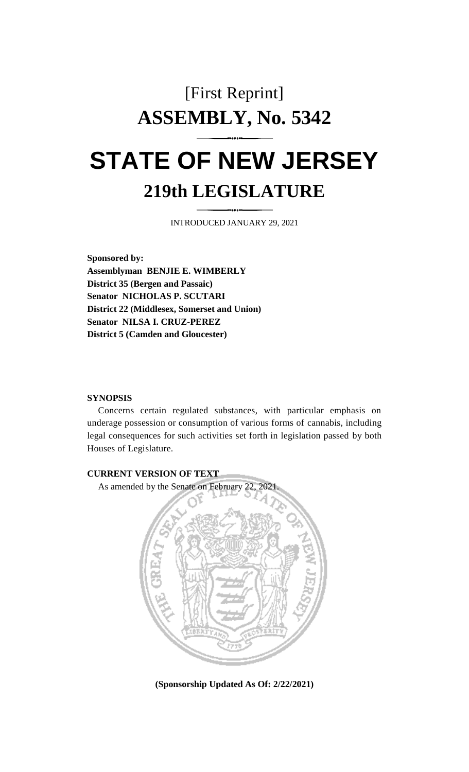# [First Reprint] **ASSEMBLY, No. 5342 STATE OF NEW JERSEY 219th LEGISLATURE**

INTRODUCED JANUARY 29, 2021

**Sponsored by: Assemblyman BENJIE E. WIMBERLY District 35 (Bergen and Passaic) Senator NICHOLAS P. SCUTARI District 22 (Middlesex, Somerset and Union) Senator NILSA I. CRUZ-PEREZ District 5 (Camden and Gloucester)**

# **SYNOPSIS**

Concerns certain regulated substances, with particular emphasis on underage possession or consumption of various forms of cannabis, including legal consequences for such activities set forth in legislation passed by both Houses of Legislature.



**(Sponsorship Updated As Of: 2/22/2021)**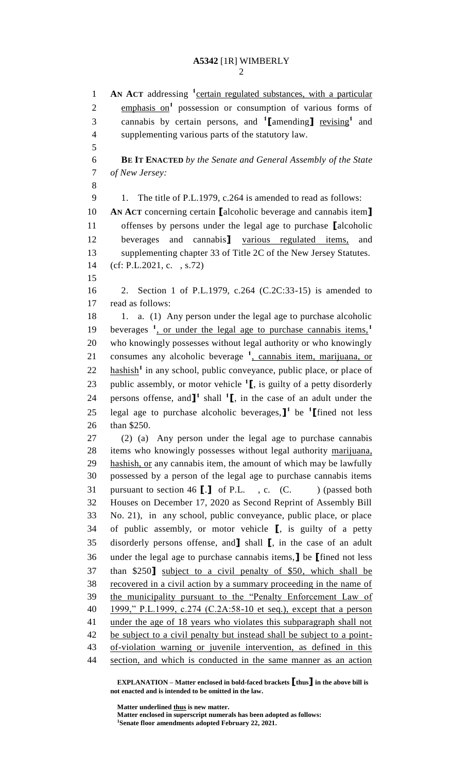**AN ACT** addressing **<sup>1</sup>** certain regulated substances, with a particular 2 emphasis on<sup>1</sup> possession or consumption of various forms of 3 cannabis by certain persons, and **1** [amending] revising<sup>1</sup> and supplementing various parts of the statutory law. **BE IT ENACTED** *by the Senate and General Assembly of the State of New Jersey:* 9 1. The title of P.L.1979, c.264 is amended to read as follows: **AN ACT** concerning certain **[**alcoholic beverage and cannabis item**]** offenses by persons under the legal age to purchase **[**alcoholic beverages and cannabis**]** various regulated items, and supplementing chapter 33 of Title 2C of the New Jersey Statutes. (cf: P.L.2021, c. , s.72) 2. Section 1 of P.L.1979, c.264 (C.2C:33-15) is amended to read as follows: 18 1. a. (1) Any person under the legal age to purchase alcoholic beverages **<sup>1</sup>** , or under the legal age to purchase cannabis items,**<sup>1</sup>** who knowingly possesses without legal authority or who knowingly 21 consumes any alcoholic beverage <sup>1</sup>, cannabis item, marijuana, or 22 hashish<sup>1</sup> in any school, public conveyance, public place, or place of 23 public assembly, or motor vehicle <sup>1</sup>**[**, is guilty of a petty disorderly **persons of fense, and**  $\mathbf{I}^1$  shall  $\mathbf{I}^1$ , in the case of an adult under the 25 legal age to purchase alcoholic beverages,  $\mathbf{I}^1$  be <sup>1</sup> [fined not less than \$250. (2) (a) Any person under the legal age to purchase cannabis items who knowingly possesses without legal authority marijuana, 29 hashish, or any cannabis item, the amount of which may be lawfully possessed by a person of the legal age to purchase cannabis items pursuant to section 46 **[**.**]** of P.L. , c. (C. ) (passed both Houses on December 17, 2020 as Second Reprint of Assembly Bill No. 21), in any school, public conveyance, public place, or place of public assembly, or motor vehicle **[**, is guilty of a petty disorderly persons offense, and**]** shall **[**, in the case of an adult under the legal age to purchase cannabis items,**]** be **[**fined not less than \$250**]** subject to a civil penalty of \$50, which shall be recovered in a civil action by a summary proceeding in the name of the municipality pursuant to the "Penalty Enforcement Law of 1999," P.L.1999, c.274 (C.2A:58-10 et seq.), except that a person under the age of 18 years who violates this subparagraph shall not 42 be subject to a civil penalty but instead shall be subject to a point- of-violation warning or juvenile intervention, as defined in this section, and which is conducted in the same manner as an action

**EXPLANATION – Matter enclosed in bold-faced brackets [thus] in the above bill is not enacted and is intended to be omitted in the law.**

**Matter underlined thus is new matter.**

**Matter enclosed in superscript numerals has been adopted as follows: Senate floor amendments adopted February 22, 2021.**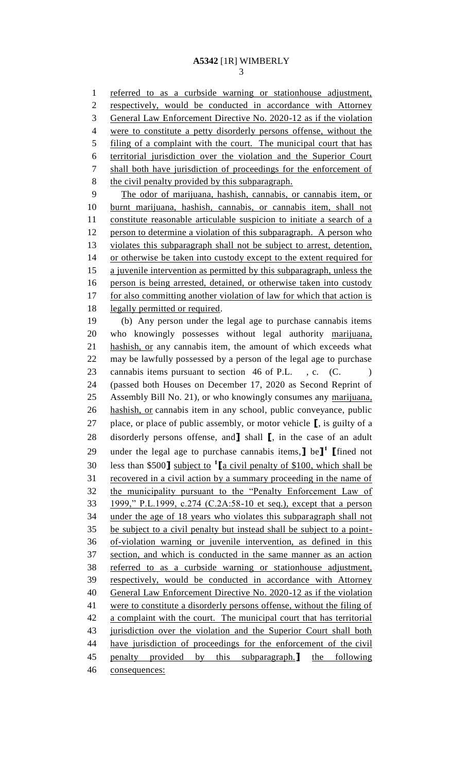referred to as a curbside warning or stationhouse adjustment, respectively, would be conducted in accordance with Attorney General Law Enforcement Directive No. 2020-12 as if the violation were to constitute a petty disorderly persons offense, without the 5 filing of a complaint with the court. The municipal court that has territorial jurisdiction over the violation and the Superior Court shall both have jurisdiction of proceedings for the enforcement of 8 the civil penalty provided by this subparagraph.

 The odor of marijuana, hashish, cannabis, or cannabis item, or burnt marijuana, hashish, cannabis, or cannabis item, shall not constitute reasonable articulable suspicion to initiate a search of a 12 person to determine a violation of this subparagraph. A person who violates this subparagraph shall not be subject to arrest, detention, or otherwise be taken into custody except to the extent required for a juvenile intervention as permitted by this subparagraph, unless the person is being arrested, detained, or otherwise taken into custody 17 for also committing another violation of law for which that action is legally permitted or required.

 (b) Any person under the legal age to purchase cannabis items who knowingly possesses without legal authority marijuana, hashish, or any cannabis item, the amount of which exceeds what may be lawfully possessed by a person of the legal age to purchase 23 cannabis items pursuant to section 46 of P.L., c. (C.) (passed both Houses on December 17, 2020 as Second Reprint of Assembly Bill No. 21), or who knowingly consumes any marijuana, hashish, or cannabis item in any school, public conveyance, public place, or place of public assembly, or motor vehicle **[**, is guilty of a disorderly persons offense, and**]** shall **[**, in the case of an adult under the legal age to purchase cannabis items,**]** be**] 1 [**fined not less than \$500**]** subject to **<sup>1</sup> [**a civil penalty of \$100, which shall be recovered in a civil action by a summary proceeding in the name of the municipality pursuant to the "Penalty Enforcement Law of 1999," P.L.1999, c.274 (C.2A:58-10 et seq.), except that a person under the age of 18 years who violates this subparagraph shall not be subject to a civil penalty but instead shall be subject to a point- of-violation warning or juvenile intervention, as defined in this section, and which is conducted in the same manner as an action referred to as a curbside warning or stationhouse adjustment, respectively, would be conducted in accordance with Attorney General Law Enforcement Directive No. 2020-12 as if the violation were to constitute a disorderly persons offense, without the filing of 42 a complaint with the court. The municipal court that has territorial 43 jurisdiction over the violation and the Superior Court shall both have jurisdiction of proceedings for the enforcement of the civil penalty provided by this subparagraph.**]** the following consequences: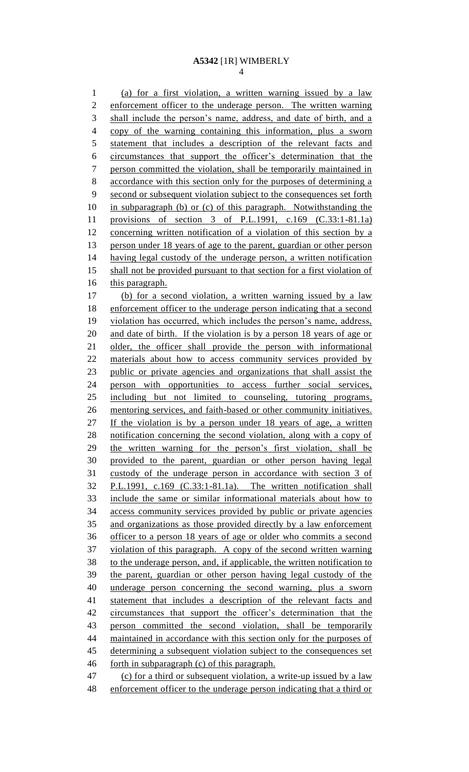(a) for a first violation, a written warning issued by a law enforcement officer to the underage person. The written warning shall include the person's name, address, and date of birth, and a copy of the warning containing this information, plus a sworn statement that includes a description of the relevant facts and circumstances that support the officer's determination that the person committed the violation, shall be temporarily maintained in accordance with this section only for the purposes of determining a second or subsequent violation subject to the consequences set forth in subparagraph (b) or (c) of this paragraph. Notwithstanding the provisions of section 3 of P.L.1991, c.169 (C.33:1-81.1a) concerning written notification of a violation of this section by a 13 person under 18 years of age to the parent, guardian or other person having legal custody of the underage person, a written notification 15 shall not be provided pursuant to that section for a first violation of this paragraph. (b) for a second violation, a written warning issued by a law enforcement officer to the underage person indicating that a second violation has occurred, which includes the person's name, address, and date of birth. If the violation is by a person 18 years of age or older, the officer shall provide the person with informational materials about how to access community services provided by public or private agencies and organizations that shall assist the person with opportunities to access further social services, including but not limited to counseling, tutoring programs, mentoring services, and faith-based or other community initiatives. If the violation is by a person under 18 years of age, a written notification concerning the second violation, along with a copy of the written warning for the person's first violation, shall be provided to the parent, guardian or other person having legal custody of the underage person in accordance with section 3 of P.L.1991, c.169 (C.33:1-81.1a). The written notification shall include the same or similar informational materials about how to access community services provided by public or private agencies and organizations as those provided directly by a law enforcement officer to a person 18 years of age or older who commits a second violation of this paragraph. A copy of the second written warning 38 to the underage person, and, if applicable, the written notification to the parent, guardian or other person having legal custody of the underage person concerning the second warning, plus a sworn statement that includes a description of the relevant facts and circumstances that support the officer's determination that the person committed the second violation, shall be temporarily maintained in accordance with this section only for the purposes of determining a subsequent violation subject to the consequences set forth in subparagraph (c) of this paragraph. (c) for a third or subsequent violation, a write-up issued by a law enforcement officer to the underage person indicating that a third or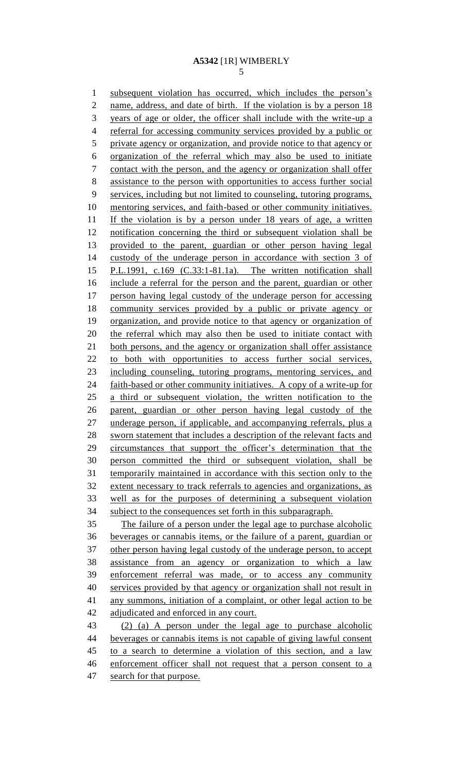subsequent violation has occurred, which includes the person's 2 name, address, and date of birth. If the violation is by a person 18 years of age or older, the officer shall include with the write-up a 4 referral for accessing community services provided by a public or private agency or organization, and provide notice to that agency or organization of the referral which may also be used to initiate contact with the person, and the agency or organization shall offer assistance to the person with opportunities to access further social services, including but not limited to counseling, tutoring programs, mentoring services, and faith-based or other community initiatives. If the violation is by a person under 18 years of age, a written notification concerning the third or subsequent violation shall be provided to the parent, guardian or other person having legal custody of the underage person in accordance with section 3 of P.L.1991, c.169 (C.33:1-81.1a). The written notification shall include a referral for the person and the parent, guardian or other person having legal custody of the underage person for accessing community services provided by a public or private agency or organization, and provide notice to that agency or organization of 20 the referral which may also then be used to initiate contact with both persons, and the agency or organization shall offer assistance to both with opportunities to access further social services, including counseling, tutoring programs, mentoring services, and 24 faith-based or other community initiatives. A copy of a write-up for a third or subsequent violation, the written notification to the parent, guardian or other person having legal custody of the underage person, if applicable, and accompanying referrals, plus a sworn statement that includes a description of the relevant facts and circumstances that support the officer's determination that the person committed the third or subsequent violation, shall be temporarily maintained in accordance with this section only to the extent necessary to track referrals to agencies and organizations, as well as for the purposes of determining a subsequent violation subject to the consequences set forth in this subparagraph. The failure of a person under the legal age to purchase alcoholic beverages or cannabis items, or the failure of a parent, guardian or other person having legal custody of the underage person, to accept assistance from an agency or organization to which a law enforcement referral was made, or to access any community services provided by that agency or organization shall not result in any summons, initiation of a complaint, or other legal action to be adjudicated and enforced in any court. (2) (a) A person under the legal age to purchase alcoholic beverages or cannabis items is not capable of giving lawful consent to a search to determine a violation of this section, and a law 46 enforcement officer shall not request that a person consent to a search for that purpose.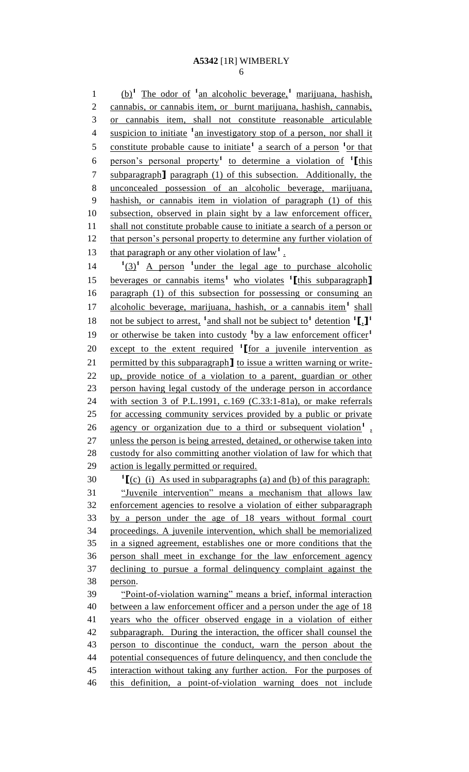(b)**<sup>1</sup>** The odor of **<sup>1</sup>** an alcoholic beverage,**<sup>1</sup>** marijuana, hashish, cannabis, or cannabis item, or burnt marijuana, hashish, cannabis, or cannabis item, shall not constitute reasonable articulable 4 suspicion to initiate <sup>1</sup> an investigatory stop of a person, nor shall it 5 constitute probable cause to initiate<sup>1</sup> a search of a person <sup>1</sup> or that person's personal property**<sup>1</sup>** to determine a violation of **<sup>1</sup> [**this subparagraph**]** paragraph (1) of this subsection. Additionally, the unconcealed possession of an alcoholic beverage, marijuana, hashish, or cannabis item in violation of paragraph (1) of this subsection, observed in plain sight by a law enforcement officer, 11 shall not constitute probable cause to initiate a search of a person or 12 that person's personal property to determine any further violation of 13 that paragraph or any other violation of  $law<sup>1</sup>$ .

14  $(3)^1$  A person <sup>1</sup> under the legal age to purchase alcoholic beverages or cannabis items**<sup>1</sup>** who violates **<sup>1</sup> [**this subparagraph**]** paragraph (1) of this subsection for possessing or consuming an 17 alcoholic beverage, marijuana, hashish, or a cannabis item<sup>1</sup> shall not be subject to arrest, **<sup>1</sup>** and shall not be subject to**<sup>1</sup>** detention **<sup>1</sup> [**,**] 1** or otherwise be taken into custody **<sup>1</sup>** by a law enforcement officer**<sup>1</sup>** 20 **except to the extent required <sup>1</sup> [**for a juvenile intervention as permitted by this subparagraph**]** to issue a written warning or write- up, provide notice of a violation to a parent, guardian or other person having legal custody of the underage person in accordance with section 3 of P.L.1991, c.169 (C.33:1-81a), or make referrals for accessing community services provided by a public or private 26 agency or organization due to a third or subsequent violation<sup>1</sup>, unless the person is being arrested, detained, or otherwise taken into custody for also committing another violation of law for which that 29 action is legally permitted or required. 30  $\textbf{1}_{\text{[c)}}$  (i) As used in subparagraphs (a) and (b) of this paragraph:

 "Juvenile intervention" means a mechanism that allows law enforcement agencies to resolve a violation of either subparagraph by a person under the age of 18 years without formal court proceedings. A juvenile intervention, which shall be memorialized in a signed agreement, establishes one or more conditions that the person shall meet in exchange for the law enforcement agency declining to pursue a formal delinquency complaint against the person. "Point-of-violation warning" means a brief, informal interaction 40 between a law enforcement officer and a person under the age of 18

 years who the officer observed engage in a violation of either subparagraph. During the interaction, the officer shall counsel the person to discontinue the conduct, warn the person about the potential consequences of future delinquency, and then conclude the interaction without taking any further action. For the purposes of this definition, a point-of-violation warning does not include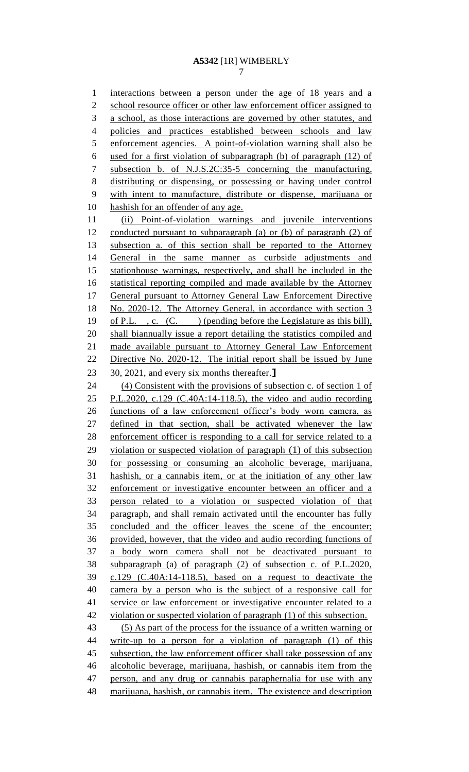interactions between a person under the age of 18 years and a 2 school resource officer or other law enforcement officer assigned to a school, as those interactions are governed by other statutes, and policies and practices established between schools and law enforcement agencies. A point-of-violation warning shall also be used for a first violation of subparagraph (b) of paragraph (12) of subsection b. of N.J.S.2C:35-5 concerning the manufacturing, distributing or dispensing, or possessing or having under control with intent to manufacture, distribute or dispense, marijuana or hashish for an offender of any age. (ii) Point-of-violation warnings and juvenile interventions conducted pursuant to subparagraph (a) or (b) of paragraph (2) of subsection a. of this section shall be reported to the Attorney General in the same manner as curbside adjustments and stationhouse warnings, respectively, and shall be included in the statistical reporting compiled and made available by the Attorney General pursuant to Attorney General Law Enforcement Directive No. 2020-12. The Attorney General, in accordance with section 3 of P.L. , c. (C. ) (pending before the Legislature as this bill), shall biannually issue a report detailing the statistics compiled and made available pursuant to Attorney General Law Enforcement Directive No. 2020-12. The initial report shall be issued by June 30, 2021, and every six months thereafter.**]** (4) Consistent with the provisions of subsection c. of section 1 of P.L.2020, c.129 (C.40A:14-118.5), the video and audio recording functions of a law enforcement officer's body worn camera, as defined in that section, shall be activated whenever the law enforcement officer is responding to a call for service related to a violation or suspected violation of paragraph (1) of this subsection for possessing or consuming an alcoholic beverage, marijuana, hashish, or a cannabis item, or at the initiation of any other law enforcement or investigative encounter between an officer and a person related to a violation or suspected violation of that paragraph, and shall remain activated until the encounter has fully concluded and the officer leaves the scene of the encounter; provided, however, that the video and audio recording functions of a body worn camera shall not be deactivated pursuant to subparagraph (a) of paragraph (2) of subsection c. of P.L.2020, c.129 (C.40A:14-118.5), based on a request to deactivate the camera by a person who is the subject of a responsive call for 41 service or law enforcement or investigative encounter related to a violation or suspected violation of paragraph (1) of this subsection. (5) As part of the process for the issuance of a written warning or write-up to a person for a violation of paragraph (1) of this 45 subsection, the law enforcement officer shall take possession of any alcoholic beverage, marijuana, hashish, or cannabis item from the person, and any drug or cannabis paraphernalia for use with any marijuana, hashish, or cannabis item. The existence and description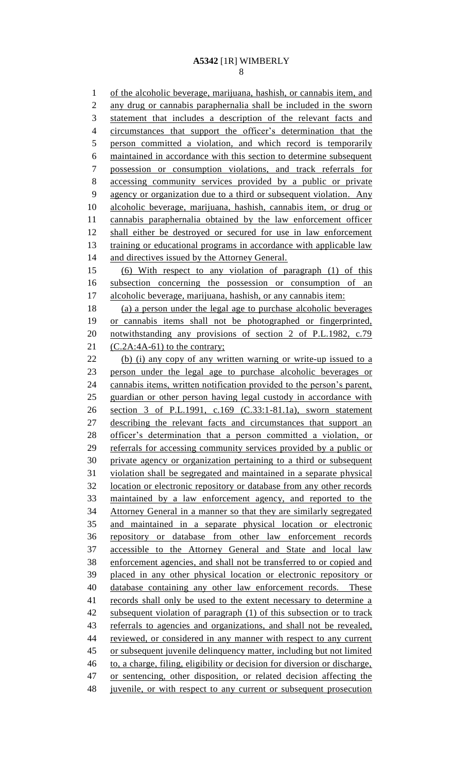of the alcoholic beverage, marijuana, hashish, or cannabis item, and any drug or cannabis paraphernalia shall be included in the sworn statement that includes a description of the relevant facts and circumstances that support the officer's determination that the person committed a violation, and which record is temporarily maintained in accordance with this section to determine subsequent possession or consumption violations, and track referrals for accessing community services provided by a public or private agency or organization due to a third or subsequent violation. Any alcoholic beverage, marijuana, hashish, cannabis item, or drug or cannabis paraphernalia obtained by the law enforcement officer shall either be destroyed or secured for use in law enforcement 13 training or educational programs in accordance with applicable law 14 and directives issued by the Attorney General. (6) With respect to any violation of paragraph (1) of this subsection concerning the possession or consumption of an alcoholic beverage, marijuana, hashish, or any cannabis item: (a) a person under the legal age to purchase alcoholic beverages or cannabis items shall not be photographed or fingerprinted, 20 notwithstanding any provisions of section 2 of P.L.1982, c.79  $(C.2A:4A-61)$  to the contrary; (b) (i) any copy of any written warning or write-up issued to a person under the legal age to purchase alcoholic beverages or cannabis items, written notification provided to the person's parent, guardian or other person having legal custody in accordance with section 3 of P.L.1991, c.169 (C.33:1-81.1a), sworn statement describing the relevant facts and circumstances that support an officer's determination that a person committed a violation, or referrals for accessing community services provided by a public or private agency or organization pertaining to a third or subsequent violation shall be segregated and maintained in a separate physical location or electronic repository or database from any other records maintained by a law enforcement agency, and reported to the Attorney General in a manner so that they are similarly segregated and maintained in a separate physical location or electronic repository or database from other law enforcement records accessible to the Attorney General and State and local law enforcement agencies, and shall not be transferred to or copied and placed in any other physical location or electronic repository or database containing any other law enforcement records. These records shall only be used to the extent necessary to determine a subsequent violation of paragraph (1) of this subsection or to track referrals to agencies and organizations, and shall not be revealed, reviewed, or considered in any manner with respect to any current or subsequent juvenile delinquency matter, including but not limited to, a charge, filing, eligibility or decision for diversion or discharge, or sentencing, other disposition, or related decision affecting the 48 juvenile, or with respect to any current or subsequent prosecution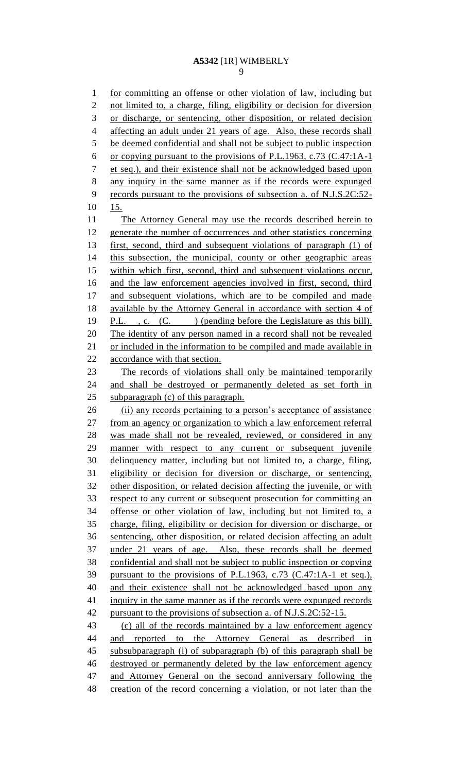for committing an offense or other violation of law, including but not limited to, a charge, filing, eligibility or decision for diversion or discharge, or sentencing, other disposition, or related decision affecting an adult under 21 years of age. Also, these records shall be deemed confidential and shall not be subject to public inspection or copying pursuant to the provisions of P.L.1963, c.73 (C.47:1A-1 et seq.), and their existence shall not be acknowledged based upon any inquiry in the same manner as if the records were expunged records pursuant to the provisions of subsection a. of N.J.S.2C:52- 15. The Attorney General may use the records described herein to generate the number of occurrences and other statistics concerning first, second, third and subsequent violations of paragraph (1) of this subsection, the municipal, county or other geographic areas within which first, second, third and subsequent violations occur, and the law enforcement agencies involved in first, second, third 17 and subsequent violations, which are to be compiled and made available by the Attorney General in accordance with section 4 of P.L. , c. (C. ) (pending before the Legislature as this bill). The identity of any person named in a record shall not be revealed or included in the information to be compiled and made available in accordance with that section. The records of violations shall only be maintained temporarily 24 and shall be destroyed or permanently deleted as set forth in subparagraph (c) of this paragraph. (ii) any records pertaining to a person's acceptance of assistance from an agency or organization to which a law enforcement referral was made shall not be revealed, reviewed, or considered in any manner with respect to any current or subsequent juvenile delinquency matter, including but not limited to, a charge, filing, eligibility or decision for diversion or discharge, or sentencing, other disposition, or related decision affecting the juvenile, or with respect to any current or subsequent prosecution for committing an offense or other violation of law, including but not limited to, a charge, filing, eligibility or decision for diversion or discharge, or sentencing, other disposition, or related decision affecting an adult under 21 years of age. Also, these records shall be deemed confidential and shall not be subject to public inspection or copying pursuant to the provisions of P.L.1963, c.73 (C.47:1A-1 et seq.), and their existence shall not be acknowledged based upon any inquiry in the same manner as if the records were expunged records 42 pursuant to the provisions of subsection a. of N.J.S.2C:52-15. (c) all of the records maintained by a law enforcement agency 44 and reported to the Attorney General as described in subsubparagraph (i) of subparagraph (b) of this paragraph shall be destroyed or permanently deleted by the law enforcement agency and Attorney General on the second anniversary following the creation of the record concerning a violation, or not later than the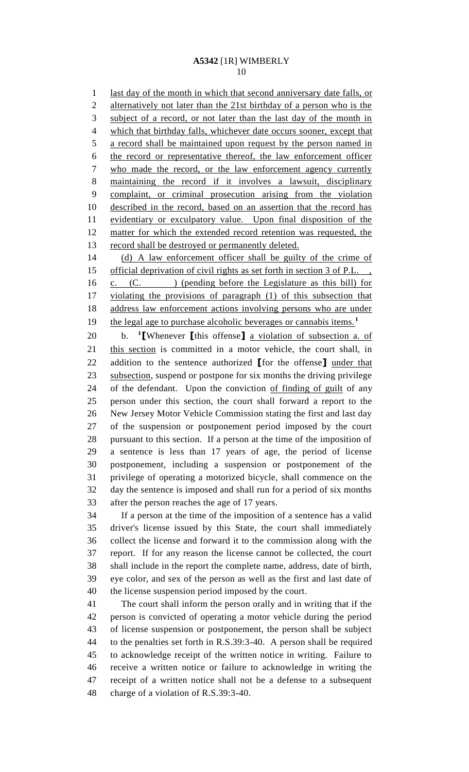last day of the month in which that second anniversary date falls, or alternatively not later than the 21st birthday of a person who is the subject of a record, or not later than the last day of the month in which that birthday falls, whichever date occurs sooner, except that a record shall be maintained upon request by the person named in the record or representative thereof, the law enforcement officer who made the record, or the law enforcement agency currently maintaining the record if it involves a lawsuit, disciplinary complaint, or criminal prosecution arising from the violation described in the record, based on an assertion that the record has evidentiary or exculpatory value. Upon final disposition of the 12 matter for which the extended record retention was requested, the 13 record shall be destroyed or permanently deleted.

 (d) A law enforcement officer shall be guilty of the crime of 15 official deprivation of civil rights as set forth in section 3 of P.L., 16 c. (C. ) (pending before the Legislature as this bill) for violating the provisions of paragraph (1) of this subsection that address law enforcement actions involving persons who are under the legal age to purchase alcoholic beverages or cannabis items.**<sup>1</sup>** 

b. **<sup>1</sup>** 20 b. <sup>1</sup> [Whenever [this offense] a violation of subsection a. of 21 this section is committed in a motor vehicle, the court shall, in addition to the sentence authorized **[**for the offense**]** under that subsection, suspend or postpone for six months the driving privilege of the defendant. Upon the conviction of finding of guilt of any person under this section, the court shall forward a report to the New Jersey Motor Vehicle Commission stating the first and last day of the suspension or postponement period imposed by the court pursuant to this section. If a person at the time of the imposition of a sentence is less than 17 years of age, the period of license postponement, including a suspension or postponement of the privilege of operating a motorized bicycle, shall commence on the day the sentence is imposed and shall run for a period of six months after the person reaches the age of 17 years.

 If a person at the time of the imposition of a sentence has a valid driver's license issued by this State, the court shall immediately collect the license and forward it to the commission along with the report. If for any reason the license cannot be collected, the court shall include in the report the complete name, address, date of birth, eye color, and sex of the person as well as the first and last date of the license suspension period imposed by the court.

 The court shall inform the person orally and in writing that if the person is convicted of operating a motor vehicle during the period of license suspension or postponement, the person shall be subject to the penalties set forth in R.S.39:3-40. A person shall be required to acknowledge receipt of the written notice in writing. Failure to receive a written notice or failure to acknowledge in writing the receipt of a written notice shall not be a defense to a subsequent charge of a violation of R.S.39:3-40.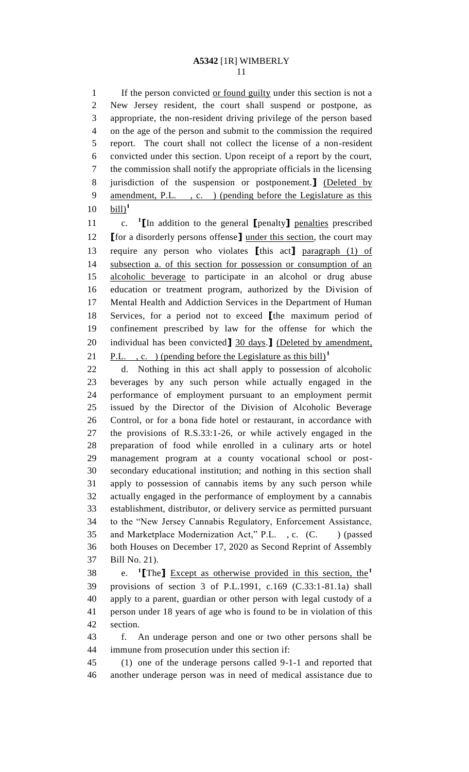1 If the person convicted <u>or found guilty</u> under this section is not a New Jersey resident, the court shall suspend or postpone, as appropriate, the non-resident driving privilege of the person based on the age of the person and submit to the commission the required report. The court shall not collect the license of a non-resident convicted under this section. Upon receipt of a report by the court, the commission shall notify the appropriate officials in the licensing jurisdiction of the suspension or postponement.**]** (Deleted by amendment, P.L. , c. ) (pending before the Legislature as this  $\text{bill}$ <sup>1</sup> 

c. **<sup>1</sup> [**In addition to the general **[**penalty**]** penalties prescribed **[**for a disorderly persons offense**]** under this section, the court may require any person who violates **[**this act**]** paragraph (1) of subsection a. of this section for possession or consumption of an alcoholic beverage to participate in an alcohol or drug abuse education or treatment program, authorized by the Division of Mental Health and Addiction Services in the Department of Human Services, for a period not to exceed **[**the maximum period of confinement prescribed by law for the offense for which the individual has been convicted**]** 30 days.**]** (Deleted by amendment, P.L. , c. ) (pending before the Legislature as this bill)**<sup>1</sup>** 

 d. Nothing in this act shall apply to possession of alcoholic beverages by any such person while actually engaged in the performance of employment pursuant to an employment permit issued by the Director of the Division of Alcoholic Beverage Control, or for a bona fide hotel or restaurant, in accordance with the provisions of R.S.33:1-26, or while actively engaged in the preparation of food while enrolled in a culinary arts or hotel management program at a county vocational school or post- secondary educational institution; and nothing in this section shall apply to possession of cannabis items by any such person while actually engaged in the performance of employment by a cannabis establishment, distributor, or delivery service as permitted pursuant to the "New Jersey Cannabis Regulatory, Enforcement Assistance, 35 and Marketplace Modernization Act," P.L., c. (C.) (passed both Houses on December 17, 2020 as Second Reprint of Assembly Bill No. 21).

e. **<sup>1</sup> [**The**]** Except as otherwise provided in this section, the**<sup>1</sup>** provisions of section 3 of P.L.1991, c.169 (C.33:1-81.1a) shall apply to a parent, guardian or other person with legal custody of a person under 18 years of age who is found to be in violation of this section.

 f. An underage person and one or two other persons shall be immune from prosecution under this section if:

 (1) one of the underage persons called 9-1-1 and reported that another underage person was in need of medical assistance due to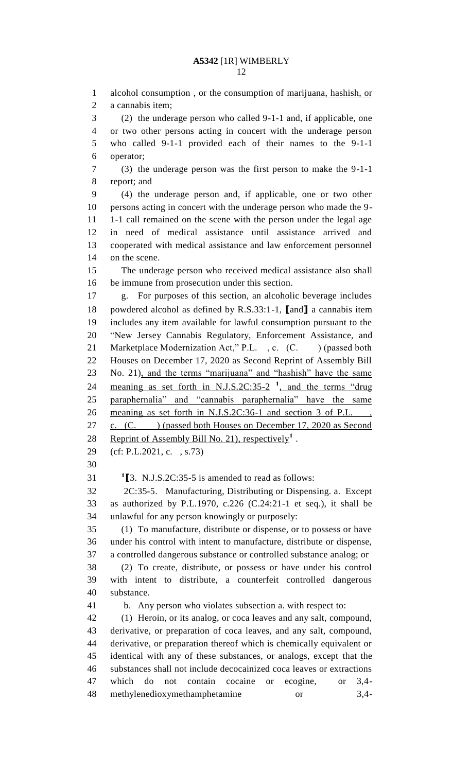alcohol consumption , or the consumption of marijuana, hashish, or a cannabis item; (2) the underage person who called 9-1-1 and, if applicable, one or two other persons acting in concert with the underage person who called 9-1-1 provided each of their names to the 9-1-1 operator; (3) the underage person was the first person to make the 9-1-1 report; and (4) the underage person and, if applicable, one or two other persons acting in concert with the underage person who made the 9- 1-1 call remained on the scene with the person under the legal age in need of medical assistance until assistance arrived and cooperated with medical assistance and law enforcement personnel on the scene. The underage person who received medical assistance also shall be immune from prosecution under this section. g. For purposes of this section, an alcoholic beverage includes powdered alcohol as defined by R.S.33:1-1, **[**and**]** a cannabis item includes any item available for lawful consumption pursuant to the "New Jersey Cannabis Regulatory, Enforcement Assistance, and 21 Marketplace Modernization Act," P.L., c. (C.) (passed both Houses on December 17, 2020 as Second Reprint of Assembly Bill No. 21), and the terms "marijuana" and "hashish" have the same 24 meaning as set forth in N.J.S.2C:35-2<sup> $-1$ </sup>, and the terms "drug paraphernalia" and "cannabis paraphernalia" have the same 26 meaning as set forth in N.J.S.2C:36-1 and section 3 of P.L. 27 c. (C. ) (passed both Houses on December 17, 2020 as Second 28 Reprint of Assembly Bill No. 21), respectively<sup>1</sup>. (cf: P.L.2021, c. , s.73)  $\left[3. \text{ N.J.S.2C:35-5 is amended to read as follows:}\right]$  2C:35-5. Manufacturing, Distributing or Dispensing. a. Except as authorized by P.L.1970, c.226 (C.24:21-1 et seq.), it shall be unlawful for any person knowingly or purposely: (1) To manufacture, distribute or dispense, or to possess or have under his control with intent to manufacture, distribute or dispense, a controlled dangerous substance or controlled substance analog; or (2) To create, distribute, or possess or have under his control with intent to distribute, a counterfeit controlled dangerous substance. b. Any person who violates subsection a. with respect to: (1) Heroin, or its analog, or coca leaves and any salt, compound, derivative, or preparation of coca leaves, and any salt, compound, derivative, or preparation thereof which is chemically equivalent or identical with any of these substances, or analogs, except that the substances shall not include decocainized coca leaves or extractions which do not contain cocaine or ecogine, or 3,4- methylenedioxymethamphetamine or 3,4-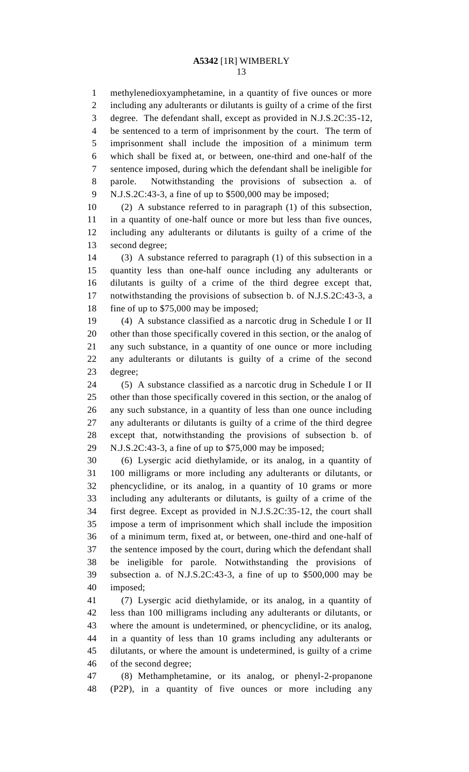methylenedioxyamphetamine, in a quantity of five ounces or more including any adulterants or dilutants is guilty of a crime of the first degree. The defendant shall, except as provided in N.J.S.2C:35-12, be sentenced to a term of imprisonment by the court. The term of imprisonment shall include the imposition of a minimum term which shall be fixed at, or between, one-third and one-half of the sentence imposed, during which the defendant shall be ineligible for parole. Notwithstanding the provisions of subsection a. of N.J.S.2C:43-3, a fine of up to \$500,000 may be imposed;

 (2) A substance referred to in paragraph (1) of this subsection, in a quantity of one-half ounce or more but less than five ounces, including any adulterants or dilutants is guilty of a crime of the second degree;

 (3) A substance referred to paragraph (1) of this subsection in a quantity less than one-half ounce including any adulterants or dilutants is guilty of a crime of the third degree except that, notwithstanding the provisions of subsection b. of N.J.S.2C:43-3, a 18 fine of up to \$75,000 may be imposed;

 (4) A substance classified as a narcotic drug in Schedule I or II other than those specifically covered in this section, or the analog of any such substance, in a quantity of one ounce or more including any adulterants or dilutants is guilty of a crime of the second degree;

 (5) A substance classified as a narcotic drug in Schedule I or II other than those specifically covered in this section, or the analog of any such substance, in a quantity of less than one ounce including any adulterants or dilutants is guilty of a crime of the third degree except that, notwithstanding the provisions of subsection b. of N.J.S.2C:43-3, a fine of up to \$75,000 may be imposed;

 (6) Lysergic acid diethylamide, or its analog, in a quantity of 100 milligrams or more including any adulterants or dilutants, or phencyclidine, or its analog, in a quantity of 10 grams or more including any adulterants or dilutants, is guilty of a crime of the first degree. Except as provided in N.J.S.2C:35-12, the court shall impose a term of imprisonment which shall include the imposition of a minimum term, fixed at, or between, one-third and one-half of the sentence imposed by the court, during which the defendant shall be ineligible for parole. Notwithstanding the provisions of subsection a. of N.J.S.2C:43-3, a fine of up to \$500,000 may be imposed;

 (7) Lysergic acid diethylamide, or its analog, in a quantity of less than 100 milligrams including any adulterants or dilutants, or where the amount is undetermined, or phencyclidine, or its analog, in a quantity of less than 10 grams including any adulterants or dilutants, or where the amount is undetermined, is guilty of a crime of the second degree;

 (8) Methamphetamine, or its analog, or phenyl-2-propanone (P2P), in a quantity of five ounces or more including any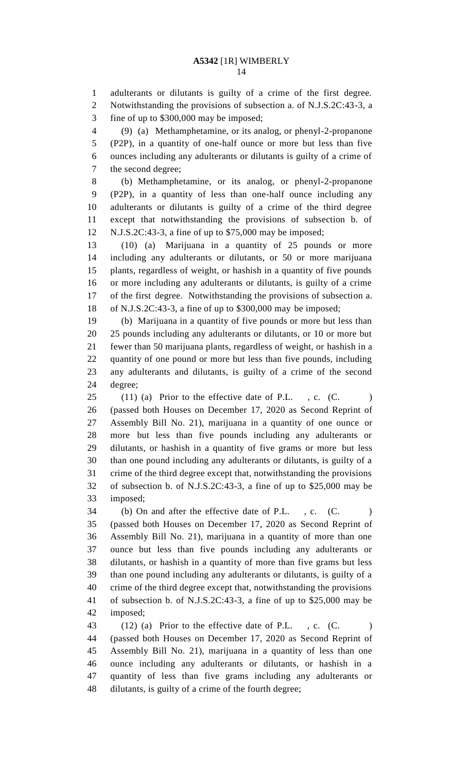adulterants or dilutants is guilty of a crime of the first degree. Notwithstanding the provisions of subsection a. of N.J.S.2C:43-3, a fine of up to \$300,000 may be imposed;

 (9) (a) Methamphetamine, or its analog, or phenyl-2-propanone (P2P), in a quantity of one-half ounce or more but less than five ounces including any adulterants or dilutants is guilty of a crime of the second degree;

 (b) Methamphetamine, or its analog, or phenyl-2-propanone (P2P), in a quantity of less than one-half ounce including any adulterants or dilutants is guilty of a crime of the third degree except that notwithstanding the provisions of subsection b. of N.J.S.2C:43-3, a fine of up to \$75,000 may be imposed;

 (10) (a) Marijuana in a quantity of 25 pounds or more including any adulterants or dilutants, or 50 or more marijuana plants, regardless of weight, or hashish in a quantity of five pounds or more including any adulterants or dilutants, is guilty of a crime of the first degree. Notwithstanding the provisions of subsection a. of N.J.S.2C:43-3, a fine of up to \$300,000 may be imposed;

 (b) Marijuana in a quantity of five pounds or more but less than 25 pounds including any adulterants or dilutants, or 10 or more but fewer than 50 marijuana plants, regardless of weight, or hashish in a quantity of one pound or more but less than five pounds, including any adulterants and dilutants, is guilty of a crime of the second degree;

 (11) (a) Prior to the effective date of P.L., c. (C. ) (passed both Houses on December 17, 2020 as Second Reprint of Assembly Bill No. 21), marijuana in a quantity of one ounce or more but less than five pounds including any adulterants or dilutants, or hashish in a quantity of five grams or more but less than one pound including any adulterants or dilutants, is guilty of a crime of the third degree except that, notwithstanding the provisions of subsection b. of N.J.S.2C:43-3, a fine of up to \$25,000 may be imposed;

34 (b) On and after the effective date of P.L., c. (C. ) (passed both Houses on December 17, 2020 as Second Reprint of Assembly Bill No. 21), marijuana in a quantity of more than one ounce but less than five pounds including any adulterants or dilutants, or hashish in a quantity of more than five grams but less than one pound including any adulterants or dilutants, is guilty of a crime of the third degree except that, notwithstanding the provisions of subsection b. of N.J.S.2C:43-3, a fine of up to \$25,000 may be imposed;

43 (12) (a) Prior to the effective date of P.L., c. (C. ) (passed both Houses on December 17, 2020 as Second Reprint of Assembly Bill No. 21), marijuana in a quantity of less than one ounce including any adulterants or dilutants, or hashish in a quantity of less than five grams including any adulterants or dilutants, is guilty of a crime of the fourth degree;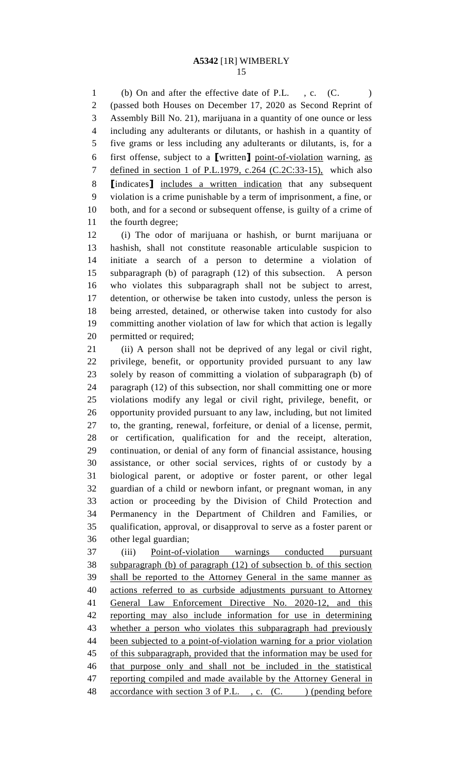1 (b) On and after the effective date of P.L., c. (C. ) (passed both Houses on December 17, 2020 as Second Reprint of Assembly Bill No. 21), marijuana in a quantity of one ounce or less including any adulterants or dilutants, or hashish in a quantity of five grams or less including any adulterants or dilutants, is, for a first offense, subject to a **[**written**]** point-of-violation warning, as 7 defined in section 1 of P.L.1979, c.264 (C.2C:33-15), which also **[**indicates**]** includes a written indication that any subsequent violation is a crime punishable by a term of imprisonment, a fine, or both, and for a second or subsequent offense, is guilty of a crime of the fourth degree;

 (i) The odor of marijuana or hashish, or burnt marijuana or hashish, shall not constitute reasonable articulable suspicion to initiate a search of a person to determine a violation of subparagraph (b) of paragraph (12) of this subsection. A person who violates this subparagraph shall not be subject to arrest, detention, or otherwise be taken into custody, unless the person is being arrested, detained, or otherwise taken into custody for also committing another violation of law for which that action is legally permitted or required;

 (ii) A person shall not be deprived of any legal or civil right, privilege, benefit, or opportunity provided pursuant to any law solely by reason of committing a violation of subparagraph (b) of paragraph (12) of this subsection, nor shall committing one or more violations modify any legal or civil right, privilege, benefit, or opportunity provided pursuant to any law, including, but not limited to, the granting, renewal, forfeiture, or denial of a license, permit, or certification, qualification for and the receipt, alteration, continuation, or denial of any form of financial assistance, housing assistance, or other social services, rights of or custody by a biological parent, or adoptive or foster parent, or other legal guardian of a child or newborn infant, or pregnant woman, in any action or proceeding by the Division of Child Protection and Permanency in the Department of Children and Families, or qualification, approval, or disapproval to serve as a foster parent or other legal guardian;

 (iii) Point-of-violation warnings conducted pursuant subparagraph (b) of paragraph (12) of subsection b. of this section shall be reported to the Attorney General in the same manner as actions referred to as curbside adjustments pursuant to Attorney General Law Enforcement Directive No. 2020-12, and this reporting may also include information for use in determining whether a person who violates this subparagraph had previously been subjected to a point-of-violation warning for a prior violation of this subparagraph, provided that the information may be used for that purpose only and shall not be included in the statistical 47 reporting compiled and made available by the Attorney General in 48 accordance with section 3 of P.L., c. (C.) (pending before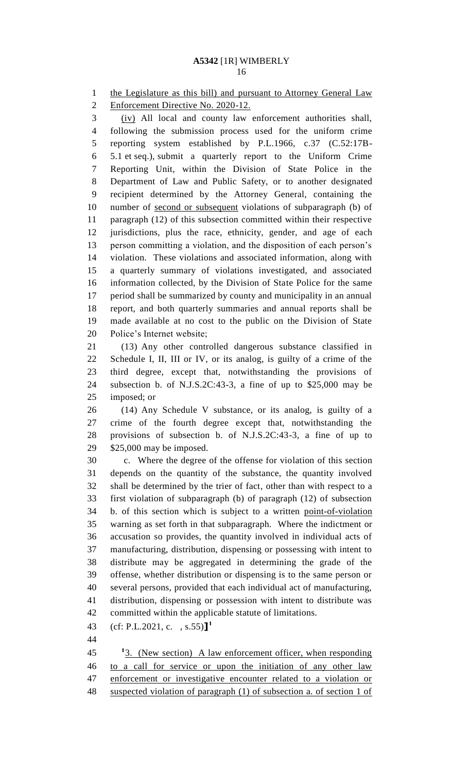1 the Legislature as this bill) and pursuant to Attorney General Law

Enforcement Directive No. 2020-12.

 (iv) All local and county law enforcement authorities shall, following the submission process used for the uniform crime reporting system established by P.L.1966, c.37 (C.52:17B- 5.1 et seq.), submit a quarterly report to the Uniform Crime Reporting Unit, within the Division of State Police in the Department of Law and Public Safety, or to another designated recipient determined by the Attorney General, containing the number of second or subsequent violations of subparagraph (b) of paragraph (12) of this subsection committed within their respective jurisdictions, plus the race, ethnicity, gender, and age of each person committing a violation, and the disposition of each person's violation. These violations and associated information, along with a quarterly summary of violations investigated, and associated information collected, by the Division of State Police for the same period shall be summarized by county and municipality in an annual report, and both quarterly summaries and annual reports shall be made available at no cost to the public on the Division of State Police's Internet website;

 (13) Any other controlled dangerous substance classified in Schedule I, II, III or IV, or its analog, is guilty of a crime of the third degree, except that, notwithstanding the provisions of subsection b. of N.J.S.2C:43-3, a fine of up to \$25,000 may be imposed; or

 (14) Any Schedule V substance, or its analog, is guilty of a crime of the fourth degree except that, notwithstanding the provisions of subsection b. of N.J.S.2C:43-3, a fine of up to \$25,000 may be imposed.

 c. Where the degree of the offense for violation of this section depends on the quantity of the substance, the quantity involved shall be determined by the trier of fact, other than with respect to a first violation of subparagraph (b) of paragraph (12) of subsection b. of this section which is subject to a written point-of-violation warning as set forth in that subparagraph. Where the indictment or accusation so provides, the quantity involved in individual acts of manufacturing, distribution, dispensing or possessing with intent to distribute may be aggregated in determining the grade of the offense, whether distribution or dispensing is to the same person or several persons, provided that each individual act of manufacturing, distribution, dispensing or possession with intent to distribute was committed within the applicable statute of limitations.

(cf: P.L.2021, c. , s.55)**] 1** 

 3. (New section) A law enforcement officer, when responding to a call for service or upon the initiation of any other law enforcement or investigative encounter related to a violation or suspected violation of paragraph (1) of subsection a. of section 1 of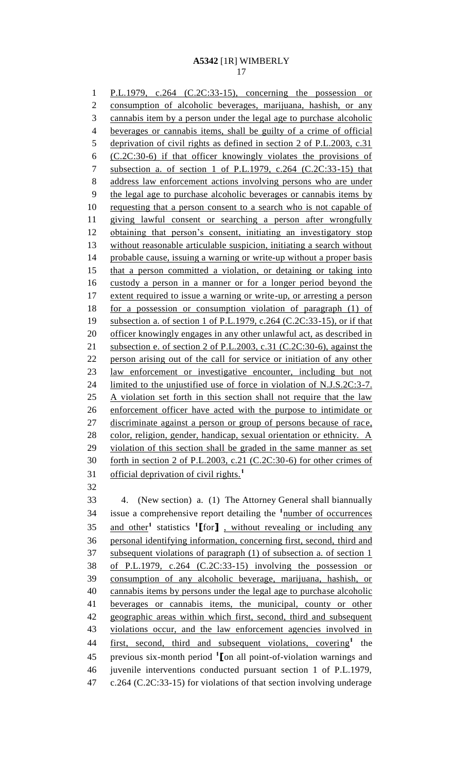P.L.1979, c.264 (C.2C:33-15), concerning the possession or consumption of alcoholic beverages, marijuana, hashish, or any cannabis item by a person under the legal age to purchase alcoholic beverages or cannabis items, shall be guilty of a crime of official deprivation of civil rights as defined in section 2 of P.L.2003, c.31 (C.2C:30-6) if that officer knowingly violates the provisions of subsection a. of section 1 of P.L.1979, c.264 (C.2C:33-15) that address law enforcement actions involving persons who are under the legal age to purchase alcoholic beverages or cannabis items by 10 requesting that a person consent to a search who is not capable of giving lawful consent or searching a person after wrongfully obtaining that person's consent, initiating an investigatory stop without reasonable articulable suspicion, initiating a search without probable cause, issuing a warning or write-up without a proper basis that a person committed a violation, or detaining or taking into custody a person in a manner or for a longer period beyond the extent required to issue a warning or write-up, or arresting a person for a possession or consumption violation of paragraph (1) of subsection a. of section 1 of P.L.1979, c.264 (C.2C:33-15), or if that 20 officer knowingly engages in any other unlawful act, as described in subsection e. of section 2 of P.L.2003, c.31 (C.2C:30-6), against the person arising out of the call for service or initiation of any other law enforcement or investigative encounter, including but not 24 limited to the unjustified use of force in violation of N.J.S.2C:3-7. A violation set forth in this section shall not require that the law enforcement officer have acted with the purpose to intimidate or discriminate against a person or group of persons because of race, 28 color, religion, gender, handicap, sexual orientation or ethnicity. A violation of this section shall be graded in the same manner as set forth in section 2 of P.L.2003, c.21 (C.2C:30-6) for other crimes of official deprivation of civil rights.**<sup>1</sup>** 

 4. (New section) a. (1) The Attorney General shall biannually 34 issue a comprehensive report detailing the <sup>1</sup>number of occurrences and other**<sup>1</sup>** statistics **<sup>1</sup> [**for**]** , without revealing or including any personal identifying information, concerning first, second, third and 37 subsequent violations of paragraph (1) of subsection a. of section 1 of P.L.1979, c.264 (C.2C:33-15) involving the possession or consumption of any alcoholic beverage, marijuana, hashish, or cannabis items by persons under the legal age to purchase alcoholic beverages or cannabis items, the municipal, county or other geographic areas within which first, second, third and subsequent violations occur, and the law enforcement agencies involved in 44 <u>first, second, third and subsequent violations, covering</u><sup>1</sup> the previous six-month period **<sup>1</sup> [**on all point-of-violation warnings and juvenile interventions conducted pursuant section 1 of P.L.1979, c.264 (C.2C:33-15) for violations of that section involving underage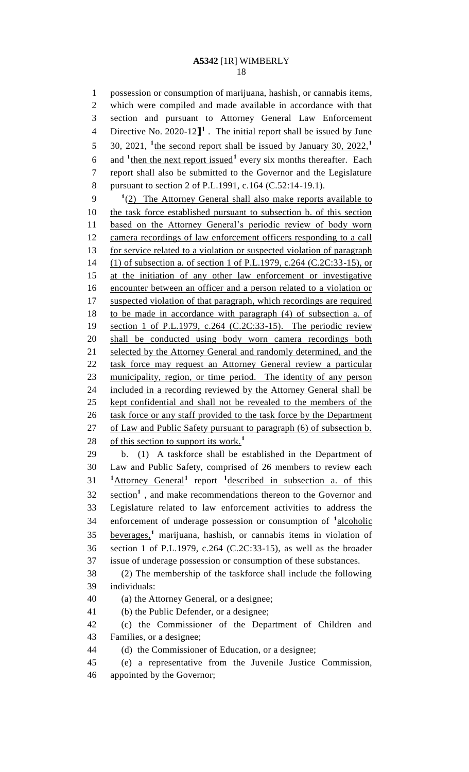possession or consumption of marijuana, hashish, or cannabis items, which were compiled and made available in accordance with that section and pursuant to Attorney General Law Enforcement Directive No. 2020-12**] 1** . The initial report shall be issued by June 30, 2021, **<sup>1</sup>** the second report shall be issued by January 30, 2022,**<sup>1</sup>** 6 and <sup>1</sup> then the next report issued<sup>1</sup> every six months thereafter. Each report shall also be submitted to the Governor and the Legislature pursuant to section 2 of P.L.1991, c.164 (C.52:14-19.1). <sup>1</sup>(2) The Attorney General shall also make reports available to the task force established pursuant to subsection b. of this section based on the Attorney General's periodic review of body worn 12 camera recordings of law enforcement officers responding to a call 13 for service related to a violation or suspected violation of paragraph (1) of subsection a. of section 1 of P.L.1979, c.264 (C.2C:33-15), or at the initiation of any other law enforcement or investigative encounter between an officer and a person related to a violation or 17 suspected violation of that paragraph, which recordings are required to be made in accordance with paragraph (4) of subsection a. of section 1 of P.L.1979, c.264 (C.2C:33-15). The periodic review shall be conducted using body worn camera recordings both 21 selected by the Attorney General and randomly determined, and the task force may request an Attorney General review a particular municipality, region, or time period. The identity of any person included in a recording reviewed by the Attorney General shall be kept confidential and shall not be revealed to the members of the 26 task force or any staff provided to the task force by the Department 27 of Law and Public Safety pursuant to paragraph (6) of subsection b. of this section to support its work.**<sup>1</sup>** b. (1) A taskforce shall be established in the Department of

 Law and Public Safety, comprised of 26 members to review each **1** Attorney General<sup>1</sup> report <sup>1</sup> described in subsection a. of this 32 section<sup>1</sup>, and make recommendations thereon to the Governor and Legislature related to law enforcement activities to address the 34 enforcement of underage possession or consumption of <sup>1</sup>alcoholic beverages,**<sup>1</sup>** marijuana, hashish, or cannabis items in violation of section 1 of P.L.1979, c.264 (C.2C:33-15), as well as the broader issue of underage possession or consumption of these substances.

 (2) The membership of the taskforce shall include the following individuals:

(a) the Attorney General, or a designee;

(b) the Public Defender, or a designee;

 (c) the Commissioner of the Department of Children and Families, or a designee;

(d) the Commissioner of Education, or a designee;

 (e) a representative from the Juvenile Justice Commission, appointed by the Governor;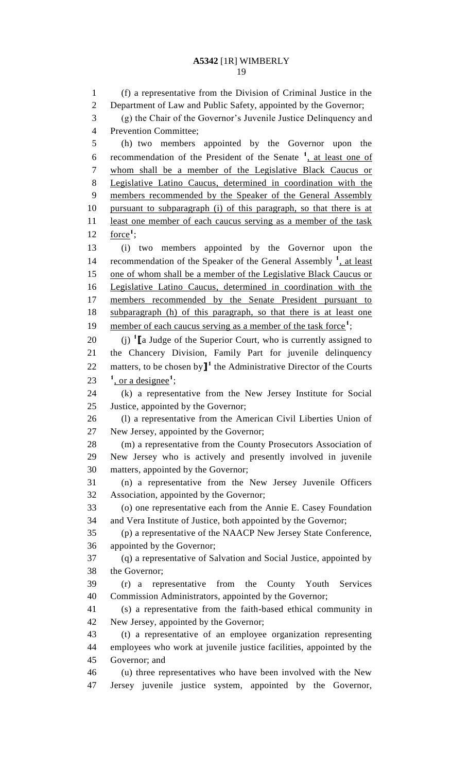(f) a representative from the Division of Criminal Justice in the Department of Law and Public Safety, appointed by the Governor; (g) the Chair of the Governor's Juvenile Justice Delinquency and Prevention Committee; (h) two members appointed by the Governor upon the 6 recommendation of the President of the Senate <sup>1</sup>, at least one of whom shall be a member of the Legislative Black Caucus or Legislative Latino Caucus, determined in coordination with the members recommended by the Speaker of the General Assembly pursuant to subparagraph (i) of this paragraph, so that there is at 11 least one member of each caucus serving as a member of the task  $\frac{\text{force}}{1}$ ; (i) two members appointed by the Governor upon the 14 recommendation of the Speaker of the General Assembly <sup>1</sup>, at least one of whom shall be a member of the Legislative Black Caucus or Legislative Latino Caucus, determined in coordination with the 17 members recommended by the Senate President pursuant to subparagraph (h) of this paragraph, so that there is at least one 19 member of each caucus serving as a member of the task force<sup>1</sup>; 20 (j) <sup>1</sup> [a Judge of the Superior Court, who is currently assigned to the Chancery Division, Family Part for juvenile delinquency 22 matters, to be chosen by  $\mathbf{I}^1$  the Administrative Director of the Courts  $\frac{1}{2}$ , or a designee<sup>1</sup>; (k) a representative from the New Jersey Institute for Social Justice, appointed by the Governor; (l) a representative from the American Civil Liberties Union of New Jersey, appointed by the Governor; (m) a representative from the County Prosecutors Association of New Jersey who is actively and presently involved in juvenile matters, appointed by the Governor; (n) a representative from the New Jersey Juvenile Officers Association, appointed by the Governor; (o) one representative each from the Annie E. Casey Foundation and Vera Institute of Justice, both appointed by the Governor; (p) a representative of the NAACP New Jersey State Conference, appointed by the Governor; (q) a representative of Salvation and Social Justice, appointed by the Governor; (r) a representative from the County Youth Services Commission Administrators, appointed by the Governor; (s) a representative from the faith-based ethical community in New Jersey, appointed by the Governor; (t) a representative of an employee organization representing employees who work at juvenile justice facilities, appointed by the Governor; and (u) three representatives who have been involved with the New Jersey juvenile justice system, appointed by the Governor,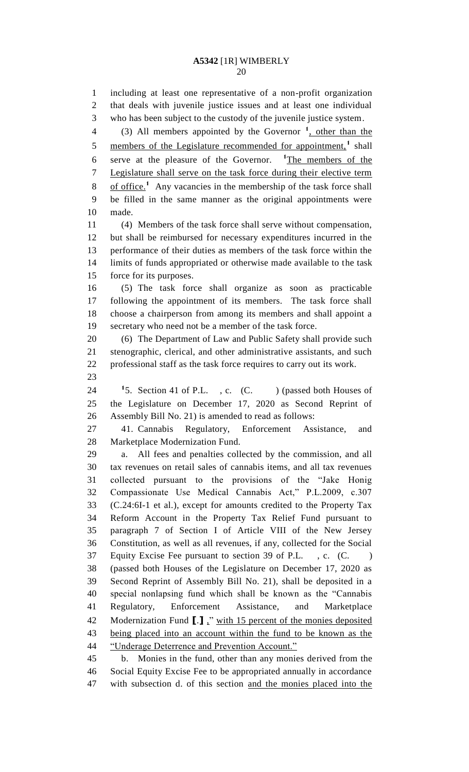including at least one representative of a non-profit organization that deals with juvenile justice issues and at least one individual who has been subject to the custody of the juvenile justice system. 4 (3) All members appointed by the Governor <sup>1</sup>, other than the 5 members of the Legislature recommended for appointment,<sup>1</sup> shall 6 serve at the pleasure of the Governor. <sup>1</sup>The members of the <sup>1</sup>The members of the Legislature shall serve on the task force during their elective term 8 of office.<sup>1</sup> Any vacancies in the membership of the task force shall be filled in the same manner as the original appointments were made. (4) Members of the task force shall serve without compensation, but shall be reimbursed for necessary expenditures incurred in the performance of their duties as members of the task force within the limits of funds appropriated or otherwise made available to the task force for its purposes. (5) The task force shall organize as soon as practicable following the appointment of its members. The task force shall choose a chairperson from among its members and shall appoint a secretary who need not be a member of the task force. (6) The Department of Law and Public Safety shall provide such stenographic, clerical, and other administrative assistants, and such professional staff as the task force requires to carry out its work. <sup>1</sup>5. Section 41 of P.L.  $\frac{1}{5}$ . Section 41 of P.L., c. (C. ) (passed both Houses of the Legislature on December 17, 2020 as Second Reprint of Assembly Bill No. 21) is amended to read as follows: 41. Cannabis Regulatory, Enforcement Assistance, and Marketplace Modernization Fund. a. All fees and penalties collected by the commission, and all tax revenues on retail sales of cannabis items, and all tax revenues collected pursuant to the provisions of the "Jake Honig Compassionate Use Medical Cannabis Act," P.L.2009, c.307 (C.24:6I-1 et al.), except for amounts credited to the Property Tax Reform Account in the Property Tax Relief Fund pursuant to paragraph 7 of Section I of Article VIII of the New Jersey Constitution, as well as all revenues, if any, collected for the Social Equity Excise Fee pursuant to section 39 of P.L. , c. (C. ) (passed both Houses of the Legislature on December 17, 2020 as Second Reprint of Assembly Bill No. 21), shall be deposited in a special nonlapsing fund which shall be known as the "Cannabis Regulatory, Enforcement Assistance, and Marketplace Modernization Fund **[**.**]** ," with 15 percent of the monies deposited being placed into an account within the fund to be known as the "Underage Deterrence and Prevention Account." b. Monies in the fund, other than any monies derived from the

 Social Equity Excise Fee to be appropriated annually in accordance with subsection d. of this section and the monies placed into the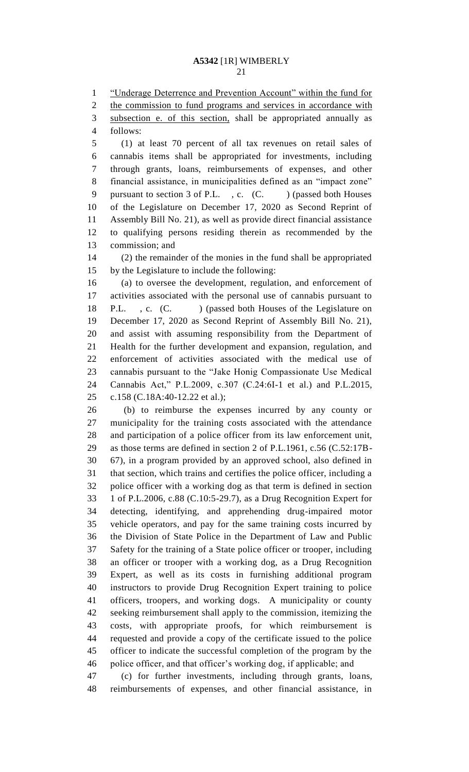1 "Underage Deterrence and Prevention Account" within the fund for

2 the commission to fund programs and services in accordance with

 subsection e. of this section, shall be appropriated annually as follows:

 (1) at least 70 percent of all tax revenues on retail sales of cannabis items shall be appropriated for investments, including through grants, loans, reimbursements of expenses, and other financial assistance, in municipalities defined as an "impact zone" 9 pursuant to section 3 of P.L., c. (C. ) (passed both Houses of the Legislature on December 17, 2020 as Second Reprint of Assembly Bill No. 21), as well as provide direct financial assistance to qualifying persons residing therein as recommended by the commission; and

 (2) the remainder of the monies in the fund shall be appropriated by the Legislature to include the following:

 (a) to oversee the development, regulation, and enforcement of activities associated with the personal use of cannabis pursuant to 18 P.L., c. (C. ) (passed both Houses of the Legislature on December 17, 2020 as Second Reprint of Assembly Bill No. 21), and assist with assuming responsibility from the Department of Health for the further development and expansion, regulation, and enforcement of activities associated with the medical use of cannabis pursuant to the "Jake Honig Compassionate Use Medical Cannabis Act," P.L.2009, c.307 (C.24:6I-1 et al.) and P.L.2015, c.158 (C.18A:40-12.22 et al.);

 (b) to reimburse the expenses incurred by any county or municipality for the training costs associated with the attendance and participation of a police officer from its law enforcement unit, as those terms are defined in section 2 of P.L.1961, c.56 (C.52:17B- 67), in a program provided by an approved school, also defined in that section, which trains and certifies the police officer, including a police officer with a working dog as that term is defined in section 1 of P.L.2006, c.88 (C.10:5-29.7), as a Drug Recognition Expert for detecting, identifying, and apprehending drug-impaired motor vehicle operators, and pay for the same training costs incurred by the Division of State Police in the Department of Law and Public Safety for the training of a State police officer or trooper, including an officer or trooper with a working dog, as a Drug Recognition Expert, as well as its costs in furnishing additional program instructors to provide Drug Recognition Expert training to police officers, troopers, and working dogs. A municipality or county seeking reimbursement shall apply to the commission, itemizing the costs, with appropriate proofs, for which reimbursement is requested and provide a copy of the certificate issued to the police officer to indicate the successful completion of the program by the police officer, and that officer's working dog, if applicable; and

 (c) for further investments, including through grants, loans, reimbursements of expenses, and other financial assistance, in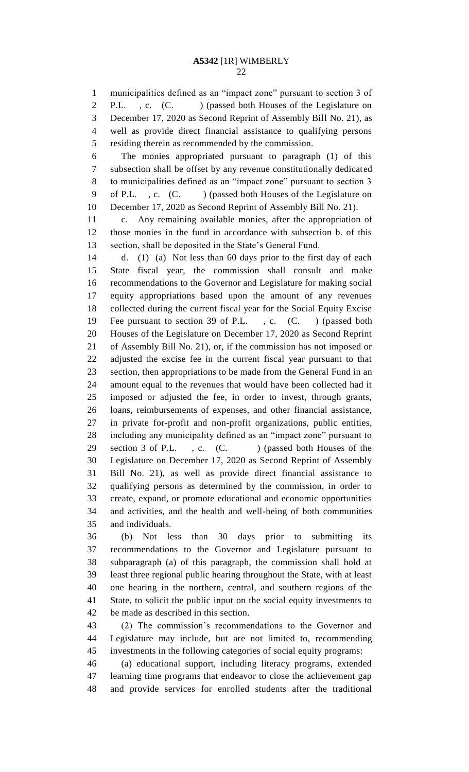municipalities defined as an "impact zone" pursuant to section 3 of 2 P.L., c. (C. ) (passed both Houses of the Legislature on December 17, 2020 as Second Reprint of Assembly Bill No. 21), as well as provide direct financial assistance to qualifying persons residing therein as recommended by the commission.

 The monies appropriated pursuant to paragraph (1) of this subsection shall be offset by any revenue constitutionally dedicated to municipalities defined as an "impact zone" pursuant to section 3 9 of P.L., c. (C. ) (passed both Houses of the Legislature on December 17, 2020 as Second Reprint of Assembly Bill No. 21).

 c. Any remaining available monies, after the appropriation of those monies in the fund in accordance with subsection b. of this section, shall be deposited in the State's General Fund.

 d. (1) (a) Not less than 60 days prior to the first day of each State fiscal year, the commission shall consult and make recommendations to the Governor and Legislature for making social equity appropriations based upon the amount of any revenues collected during the current fiscal year for the Social Equity Excise Fee pursuant to section 39 of P.L. , c. (C. ) (passed both Houses of the Legislature on December 17, 2020 as Second Reprint of Assembly Bill No. 21), or, if the commission has not imposed or adjusted the excise fee in the current fiscal year pursuant to that section, then appropriations to be made from the General Fund in an amount equal to the revenues that would have been collected had it imposed or adjusted the fee, in order to invest, through grants, loans, reimbursements of expenses, and other financial assistance, in private for-profit and non-profit organizations, public entities, including any municipality defined as an "impact zone" pursuant to 29 section 3 of P.L., c. (C.) (passed both Houses of the Legislature on December 17, 2020 as Second Reprint of Assembly Bill No. 21), as well as provide direct financial assistance to qualifying persons as determined by the commission, in order to create, expand, or promote educational and economic opportunities and activities, and the health and well-being of both communities and individuals.

 (b) Not less than 30 days prior to submitting its recommendations to the Governor and Legislature pursuant to subparagraph (a) of this paragraph, the commission shall hold at least three regional public hearing throughout the State, with at least one hearing in the northern, central, and southern regions of the State, to solicit the public input on the social equity investments to be made as described in this section.

 (2) The commission's recommendations to the Governor and Legislature may include, but are not limited to, recommending investments in the following categories of social equity programs:

 (a) educational support, including literacy programs, extended learning time programs that endeavor to close the achievement gap and provide services for enrolled students after the traditional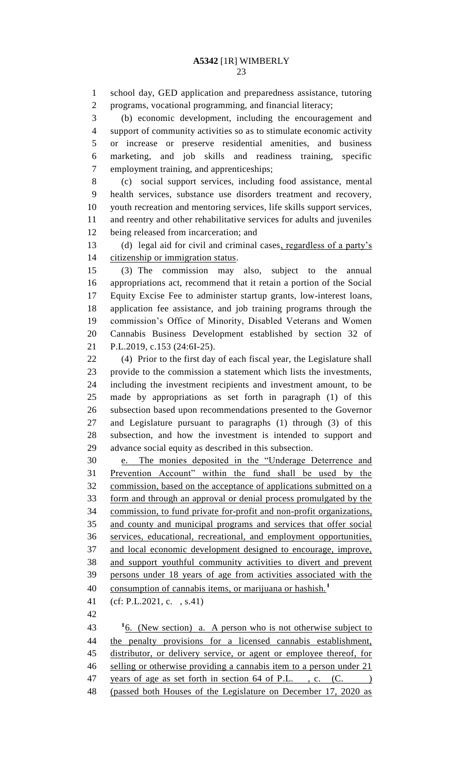school day, GED application and preparedness assistance, tutoring programs, vocational programming, and financial literacy; (b) economic development, including the encouragement and support of community activities so as to stimulate economic activity or increase or preserve residential amenities, and business marketing, and job skills and readiness training, specific employment training, and apprenticeships; (c) social support services, including food assistance, mental health services, substance use disorders treatment and recovery, youth recreation and mentoring services, life skills support services, and reentry and other rehabilitative services for adults and juveniles being released from incarceration; and 13 (d) legal aid for civil and criminal cases, regardless of a party's citizenship or immigration status. (3) The commission may also, subject to the annual appropriations act, recommend that it retain a portion of the Social Equity Excise Fee to administer startup grants, low-interest loans, application fee assistance, and job training programs through the commission's Office of Minority, Disabled Veterans and Women Cannabis Business Development established by section 32 of P.L.2019, c.153 (24:6I-25). (4) Prior to the first day of each fiscal year, the Legislature shall provide to the commission a statement which lists the investments, including the investment recipients and investment amount, to be made by appropriations as set forth in paragraph (1) of this subsection based upon recommendations presented to the Governor and Legislature pursuant to paragraphs (1) through (3) of this subsection, and how the investment is intended to support and advance social equity as described in this subsection. e. The monies deposited in the "Underage Deterrence and Prevention Account" within the fund shall be used by the commission, based on the acceptance of applications submitted on a form and through an approval or denial process promulgated by the commission, to fund private for-profit and non-profit organizations, and county and municipal programs and services that offer social services, educational, recreational, and employment opportunities, and local economic development designed to encourage, improve, and support youthful community activities to divert and prevent persons under 18 years of age from activities associated with the 40 consumption of cannabis items, or marijuana or hashish.<sup>1</sup> (cf: P.L.2021, c. , s.41)  $16.$  (New section) a. A person who is not otherwise subject to 44 the penalty provisions for a licensed cannabis establishment, distributor, or delivery service, or agent or employee thereof, for selling or otherwise providing a cannabis item to a person under 21 47 years of age as set forth in section 64 of P.L., c. (C.) (passed both Houses of the Legislature on December 17, 2020 as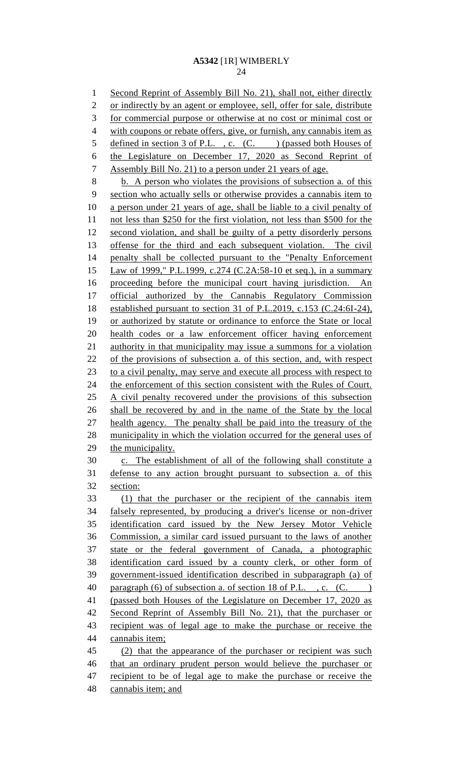1 Second Reprint of Assembly Bill No. 21), shall not, either directly or indirectly by an agent or employee, sell, offer for sale, distribute for commercial purpose or otherwise at no cost or minimal cost or with coupons or rebate offers, give, or furnish, any cannabis item as 5 defined in section 3 of P.L., c. (C. ) (passed both Houses of the Legislature on December 17, 2020 as Second Reprint of Assembly Bill No. 21) to a person under 21 years of age. b. A person who violates the provisions of subsection a. of this section who actually sells or otherwise provides a cannabis item to a person under 21 years of age, shall be liable to a civil penalty of not less than \$250 for the first violation, not less than \$500 for the second violation, and shall be guilty of a petty disorderly persons offense for the third and each subsequent violation. The civil penalty shall be collected pursuant to the "Penalty Enforcement Law of 1999," P.L.1999, c.274 (C.2A:58-10 et seq.), in a summary proceeding before the municipal court having jurisdiction. An official authorized by the Cannabis Regulatory Commission established pursuant to section 31 of P.L.2019, c.153 (C.24:6I-24), or authorized by statute or ordinance to enforce the State or local health codes or a law enforcement officer having enforcement authority in that municipality may issue a summons for a violation of the provisions of subsection a. of this section, and, with respect 23 to a civil penalty, may serve and execute all process with respect to the enforcement of this section consistent with the Rules of Court. 25 A civil penalty recovered under the provisions of this subsection shall be recovered by and in the name of the State by the local health agency. The penalty shall be paid into the treasury of the municipality in which the violation occurred for the general uses of 29 the municipality. c. The establishment of all of the following shall constitute a defense to any action brought pursuant to subsection a. of this section: (1) that the purchaser or the recipient of the cannabis item falsely represented, by producing a driver's license or non-driver identification card issued by the New Jersey Motor Vehicle Commission, a similar card issued pursuant to the laws of another state or the federal government of Canada, a photographic identification card issued by a county clerk, or other form of government-issued identification described in subparagraph (a) of 40 paragraph (6) of subsection a. of section 18 of P.L., c. (C. ) (passed both Houses of the Legislature on December 17, 2020 as Second Reprint of Assembly Bill No. 21), that the purchaser or recipient was of legal age to make the purchase or receive the cannabis item; (2) that the appearance of the purchaser or recipient was such that an ordinary prudent person would believe the purchaser or 47 recipient to be of legal age to make the purchase or receive the cannabis item; and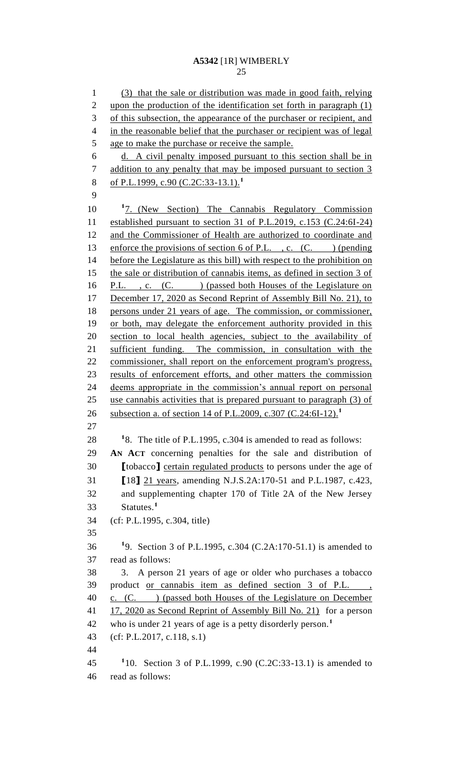(3) that the sale or distribution was made in good faith, relying upon the production of the identification set forth in paragraph (1) of this subsection, the appearance of the purchaser or recipient, and in the reasonable belief that the purchaser or recipient was of legal age to make the purchase or receive the sample. d. A civil penalty imposed pursuant to this section shall be in 7 addition to any penalty that may be imposed pursuant to section 3 of P.L.1999, c.90 (C.2C:33-13.1).**<sup>1</sup>** 10 <sup>1</sup>7. (New Section) The Cannabis Regulatory Commission established pursuant to section 31 of P.L.2019, c.153 (C.24:6I-24) and the Commissioner of Health are authorized to coordinate and 13 enforce the provisions of section 6 of P.L., c. (C. ) (pending before the Legislature as this bill) with respect to the prohibition on the sale or distribution of cannabis items, as defined in section 3 of 16 P.L., c. (C.) (passed both Houses of the Legislature on 17 December 17, 2020 as Second Reprint of Assembly Bill No. 21), to persons under 21 years of age. The commission, or commissioner, 19 or both, may delegate the enforcement authority provided in this section to local health agencies, subject to the availability of sufficient funding. The commission, in consultation with the commissioner, shall report on the enforcement program's progress, results of enforcement efforts, and other matters the commission deems appropriate in the commission's annual report on personal use cannabis activities that is prepared pursuant to paragraph (3) of subsection a. of section 14 of P.L.2009, c.307 (C.24:6I-12).**<sup>1</sup>** <sup>1</sup>8. The title of P.L.1995, c.304 is amended to read as follows: **AN ACT** concerning penalties for the sale and distribution of **[**tobacco**]** certain regulated products to persons under the age of **[**18**]** 21 years, amending N.J.S.2A:170-51 and P.L.1987, c.423, and supplementing chapter 170 of Title 2A of the New Jersey Statutes.**<sup>1</sup>** (cf: P.L.1995, c.304, title) **1** 9. Section 3 of P.L.1995, c.304 (C.2A:170-51.1) is amended to read as follows: 3. A person 21 years of age or older who purchases a tobacco product or cannabis item as defined section 3 of P.L. , 40 c. (C. ) (passed both Houses of the Legislature on December 41 17, 2020 as Second Reprint of Assembly Bill No. 21) for a person who is under 21 years of age is a petty disorderly person.**<sup>1</sup>** (cf: P.L.2017, c.118, s.1) **1** 10. Section 3 of P.L.1999, c.90 (C.2C:33-13.1) is amended to read as follows: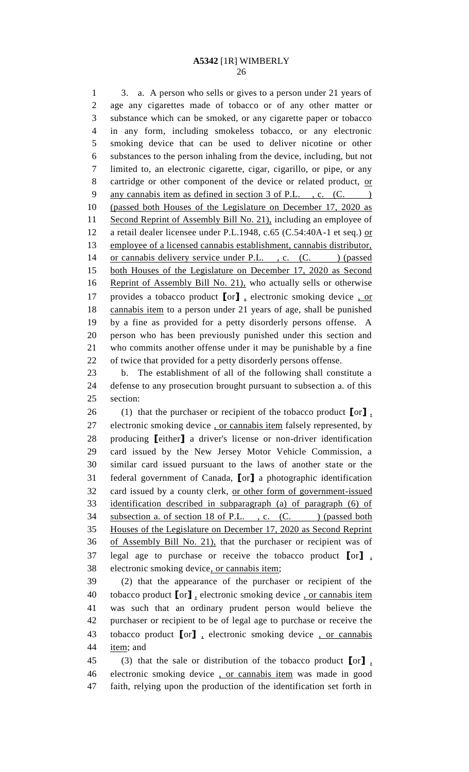3. a. A person who sells or gives to a person under 21 years of age any cigarettes made of tobacco or of any other matter or substance which can be smoked, or any cigarette paper or tobacco in any form, including smokeless tobacco, or any electronic smoking device that can be used to deliver nicotine or other substances to the person inhaling from the device, including, but not limited to, an electronic cigarette, cigar, cigarillo, or pipe, or any 8 cartridge or other component of the device or related product, or 9 any cannabis item as defined in section 3 of P.L., c. (C.) (passed both Houses of the Legislature on December 17, 2020 as Second Reprint of Assembly Bill No. 21), including an employee of 12 a retail dealer licensee under P.L.1948, c.65 (C.54:40A-1 et seq.) or employee of a licensed cannabis establishment, cannabis distributor, 14 or cannabis delivery service under P.L., c. (C. ) (passed both Houses of the Legislature on December 17, 2020 as Second 16 Reprint of Assembly Bill No. 21), who actually sells or otherwise provides a tobacco product **[**or**]** , electronic smoking device , or cannabis item to a person under 21 years of age, shall be punished by a fine as provided for a petty disorderly persons offense. A person who has been previously punished under this section and who commits another offense under it may be punishable by a fine of twice that provided for a petty disorderly persons offense. b. The establishment of all of the following shall constitute a defense to any prosecution brought pursuant to subsection a. of this section:

 (1) that the purchaser or recipient of the tobacco product **[**or**]** , 27 electronic smoking device , or cannabis item falsely represented, by producing **[**either**]** a driver's license or non-driver identification card issued by the New Jersey Motor Vehicle Commission, a similar card issued pursuant to the laws of another state or the federal government of Canada, **[**or**]** a photographic identification card issued by a county clerk, or other form of government-issued identification described in subparagraph (a) of paragraph (6) of 34 subsection a. of section 18 of P.L., c. (C. ) (passed both Houses of the Legislature on December 17, 2020 as Second Reprint of Assembly Bill No. 21), that the purchaser or recipient was of legal age to purchase or receive the tobacco product **[**or**]** , electronic smoking device, or cannabis item;

 (2) that the appearance of the purchaser or recipient of the tobacco product **[**or**]** , electronic smoking device , or cannabis item was such that an ordinary prudent person would believe the purchaser or recipient to be of legal age to purchase or receive the tobacco product **[**or**]** , electronic smoking device , or cannabis item; and

 (3) that the sale or distribution of the tobacco product **[**or**]** , electronic smoking device , or cannabis item was made in good faith, relying upon the production of the identification set forth in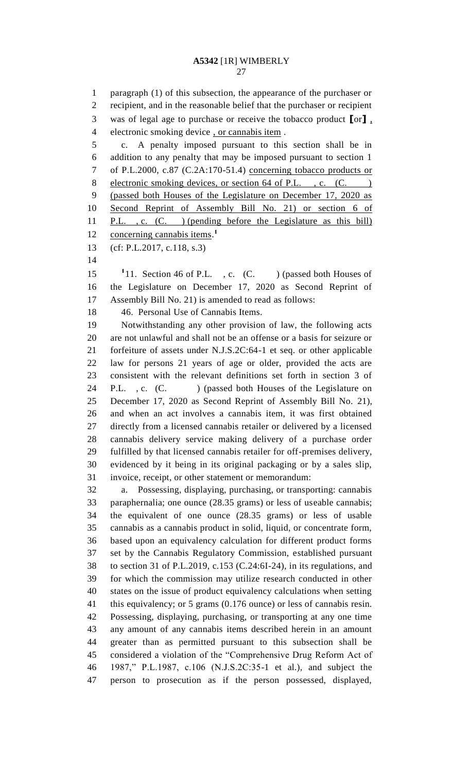paragraph (1) of this subsection, the appearance of the purchaser or recipient, and in the reasonable belief that the purchaser or recipient was of legal age to purchase or receive the tobacco product **[**or**]** , electronic smoking device , or cannabis item . c. A penalty imposed pursuant to this section shall be in addition to any penalty that may be imposed pursuant to section 1 of P.L.2000, c.87 (C.2A:170-51.4) concerning tobacco products or 8 electronic smoking devices, or section 64 of P.L., c. (C.) (passed both Houses of the Legislature on December 17, 2020 as Second Reprint of Assembly Bill No. 21) or section 6 of P.L. , c. (C. ) (pending before the Legislature as this bill) concerning cannabis items. **1** (cf: P.L.2017, c.118, s.3) 15 <sup>1</sup>11. Section 46 of P.L., c. (C. ) (passed both Houses of the Legislature on December 17, 2020 as Second Reprint of Assembly Bill No. 21) is amended to read as follows: 46. Personal Use of Cannabis Items. Notwithstanding any other provision of law, the following acts are not unlawful and shall not be an offense or a basis for seizure or forfeiture of assets under N.J.S.2C:64-1 et seq. or other applicable law for persons 21 years of age or older, provided the acts are consistent with the relevant definitions set forth in section 3 of 24 P.L., c. (C. ) (passed both Houses of the Legislature on December 17, 2020 as Second Reprint of Assembly Bill No. 21), and when an act involves a cannabis item, it was first obtained directly from a licensed cannabis retailer or delivered by a licensed cannabis delivery service making delivery of a purchase order fulfilled by that licensed cannabis retailer for off-premises delivery, evidenced by it being in its original packaging or by a sales slip, invoice, receipt, or other statement or memorandum: a. Possessing, displaying, purchasing, or transporting: cannabis paraphernalia; one ounce (28.35 grams) or less of useable cannabis; the equivalent of one ounce (28.35 grams) or less of usable cannabis as a cannabis product in solid, liquid, or concentrate form, based upon an equivalency calculation for different product forms set by the Cannabis Regulatory Commission, established pursuant to section 31 of P.L.2019, c.153 (C.24:6I-24), in its regulations, and for which the commission may utilize research conducted in other states on the issue of product equivalency calculations when setting this equivalency; or 5 grams (0.176 ounce) or less of cannabis resin. Possessing, displaying, purchasing, or transporting at any one time any amount of any cannabis items described herein in an amount greater than as permitted pursuant to this subsection shall be considered a violation of the "Comprehensive Drug Reform Act of 1987," P.L.1987, c.106 (N.J.S.2C:35-1 et al.), and subject the

person to prosecution as if the person possessed, displayed,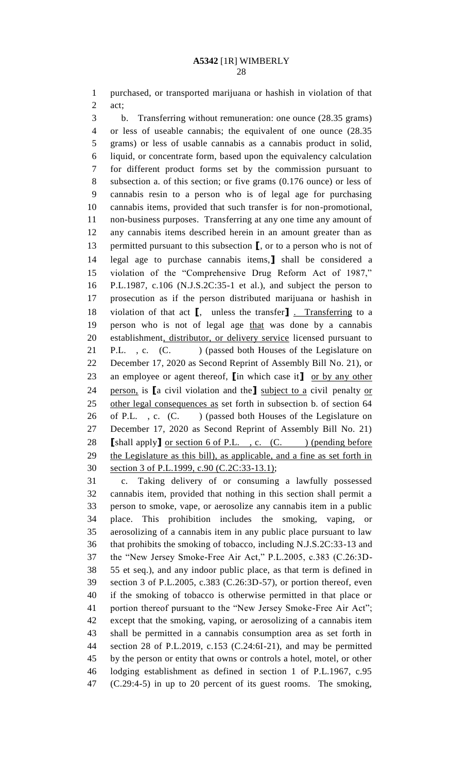purchased, or transported marijuana or hashish in violation of that act;

 b. Transferring without remuneration: one ounce (28.35 grams) or less of useable cannabis; the equivalent of one ounce (28.35 grams) or less of usable cannabis as a cannabis product in solid, liquid, or concentrate form, based upon the equivalency calculation for different product forms set by the commission pursuant to subsection a. of this section; or five grams (0.176 ounce) or less of cannabis resin to a person who is of legal age for purchasing cannabis items, provided that such transfer is for non-promotional, non-business purposes. Transferring at any one time any amount of any cannabis items described herein in an amount greater than as permitted pursuant to this subsection **[**, or to a person who is not of legal age to purchase cannabis items,**]** shall be considered a violation of the "Comprehensive Drug Reform Act of 1987," P.L.1987, c.106 (N.J.S.2C:35-1 et al.), and subject the person to prosecution as if the person distributed marijuana or hashish in violation of that act **[**, unless the transfer**]** . Transferring to a person who is not of legal age that was done by a cannabis establishment, distributor, or delivery service licensed pursuant to 21 P.L., c. (C. ) (passed both Houses of the Legislature on December 17, 2020 as Second Reprint of Assembly Bill No. 21), or an employee or agent thereof, **[**in which case it**]** or by any other person, is **[**a civil violation and the**]** subject to a civil penalty or other legal consequences as set forth in subsection b. of section 64 26 of P.L., c. (C.) (passed both Houses of the Legislature on December 17, 2020 as Second Reprint of Assembly Bill No. 21) **[shall apply]** <u>or section 6 of P.L., c. (C. ) (pending before</u> 29 the Legislature as this bill), as applicable, and a fine as set forth in section 3 of P.L.1999, c.90 (C.2C:33-13.1);

 c. Taking delivery of or consuming a lawfully possessed cannabis item, provided that nothing in this section shall permit a person to smoke, vape, or aerosolize any cannabis item in a public place. This prohibition includes the smoking, vaping, or aerosolizing of a cannabis item in any public place pursuant to law that prohibits the smoking of tobacco, including N.J.S.2C:33-13 and the "New Jersey Smoke-Free Air Act," P.L.2005, c.383 (C.26:3D- 55 et seq.), and any indoor public place, as that term is defined in section 3 of P.L.2005, c.383 (C.26:3D-57), or portion thereof, even if the smoking of tobacco is otherwise permitted in that place or portion thereof pursuant to the "New Jersey Smoke-Free Air Act"; except that the smoking, vaping, or aerosolizing of a cannabis item shall be permitted in a cannabis consumption area as set forth in section 28 of P.L.2019, c.153 (C.24:6I-21), and may be permitted by the person or entity that owns or controls a hotel, motel, or other lodging establishment as defined in section 1 of P.L.1967, c.95 (C.29:4-5) in up to 20 percent of its guest rooms. The smoking,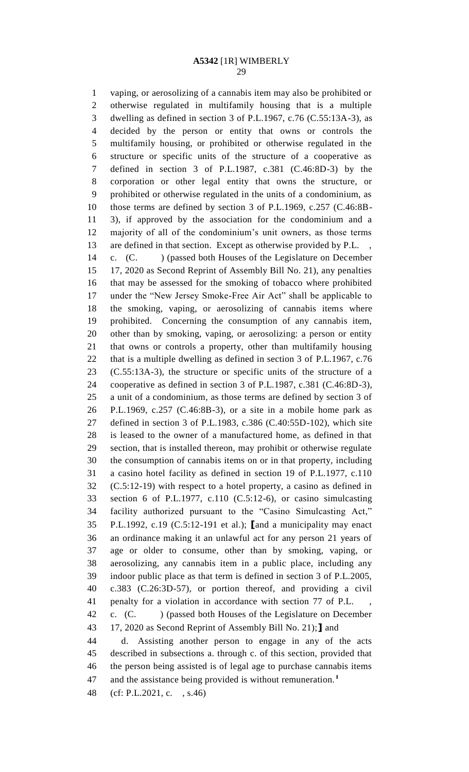vaping, or aerosolizing of a cannabis item may also be prohibited or otherwise regulated in multifamily housing that is a multiple dwelling as defined in section 3 of P.L.1967, c.76 (C.55:13A-3), as decided by the person or entity that owns or controls the multifamily housing, or prohibited or otherwise regulated in the structure or specific units of the structure of a cooperative as defined in section 3 of P.L.1987, c.381 (C.46:8D-3) by the corporation or other legal entity that owns the structure, or prohibited or otherwise regulated in the units of a condominium, as those terms are defined by section 3 of P.L.1969, c.257 (C.46:8B- 3), if approved by the association for the condominium and a majority of all of the condominium's unit owners, as those terms 13 are defined in that section. Except as otherwise provided by P.L.

14 c. (C. ) (passed both Houses of the Legislature on December 17, 2020 as Second Reprint of Assembly Bill No. 21), any penalties that may be assessed for the smoking of tobacco where prohibited under the "New Jersey Smoke-Free Air Act" shall be applicable to the smoking, vaping, or aerosolizing of cannabis items where prohibited. Concerning the consumption of any cannabis item, other than by smoking, vaping, or aerosolizing: a person or entity that owns or controls a property, other than multifamily housing that is a multiple dwelling as defined in section 3 of P.L.1967, c.76 (C.55:13A-3), the structure or specific units of the structure of a cooperative as defined in section 3 of P.L.1987, c.381 (C.46:8D-3), a unit of a condominium, as those terms are defined by section 3 of P.L.1969, c.257 (C.46:8B-3), or a site in a mobile home park as defined in section 3 of P.L.1983, c.386 (C.40:55D-102), which site is leased to the owner of a manufactured home, as defined in that section, that is installed thereon, may prohibit or otherwise regulate the consumption of cannabis items on or in that property, including a casino hotel facility as defined in section 19 of P.L.1977, c.110 (C.5:12-19) with respect to a hotel property, a casino as defined in section 6 of P.L.1977, c.110 (C.5:12-6), or casino simulcasting facility authorized pursuant to the "Casino Simulcasting Act," P.L.1992, c.19 (C.5:12-191 et al.); **[**and a municipality may enact an ordinance making it an unlawful act for any person 21 years of age or older to consume, other than by smoking, vaping, or aerosolizing, any cannabis item in a public place, including any indoor public place as that term is defined in section 3 of P.L.2005, c.383 (C.26:3D-57), or portion thereof, and providing a civil 41 penalty for a violation in accordance with section 77 of P.L. c. (C. ) (passed both Houses of the Legislature on December 17, 2020 as Second Reprint of Assembly Bill No. 21);**]** and d. Assisting another person to engage in any of the acts described in subsections a. through c. of this section, provided that the person being assisted is of legal age to purchase cannabis items and the assistance being provided is without remuneration.**<sup>1</sup>** 

(cf: P.L.2021, c. , s.46)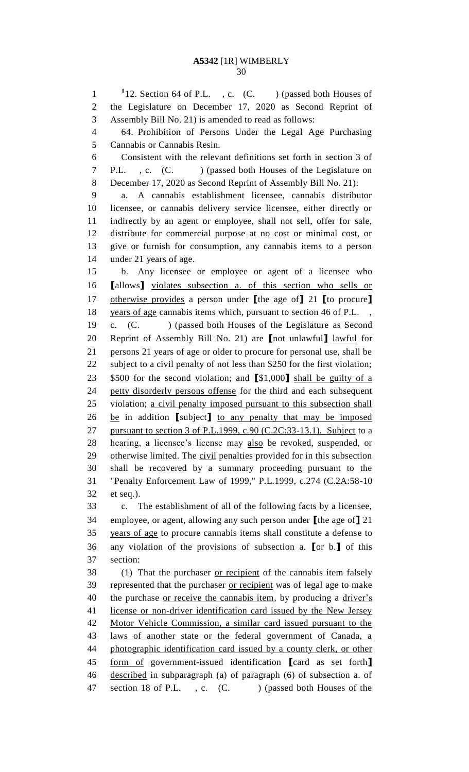1<sup>1</sup>12. Section 64 of P.L., c. (C. ) (passed both Houses of the Legislature on December 17, 2020 as Second Reprint of Assembly Bill No. 21) is amended to read as follows: 64. Prohibition of Persons Under the Legal Age Purchasing Cannabis or Cannabis Resin. Consistent with the relevant definitions set forth in section 3 of P.L. , c. (C. ) (passed both Houses of the Legislature on December 17, 2020 as Second Reprint of Assembly Bill No. 21): a. A cannabis establishment licensee, cannabis distributor licensee, or cannabis delivery service licensee, either directly or indirectly by an agent or employee, shall not sell, offer for sale, distribute for commercial purpose at no cost or minimal cost, or give or furnish for consumption, any cannabis items to a person under 21 years of age. b. Any licensee or employee or agent of a licensee who **[**allows**]** violates subsection a. of this section who sells or otherwise provides a person under **[**the age of**]** 21 **[**to procure**]** 18 years of age cannabis items which, pursuant to section 46 of P.L., c. (C. ) (passed both Houses of the Legislature as Second Reprint of Assembly Bill No. 21) are **[**not unlawful**]** lawful for persons 21 years of age or older to procure for personal use, shall be subject to a civil penalty of not less than \$250 for the first violation; \$500 for the second violation; and **[**\$1,000**]** shall be guilty of a 24 petty disorderly persons offense for the third and each subsequent violation; a civil penalty imposed pursuant to this subsection shall be in addition **[**subject**]** to any penalty that may be imposed 27 pursuant to section 3 of P.L.1999, c.90 (C.2C:33-13.1). Subject to a hearing, a licensee's license may also be revoked, suspended, or 29 otherwise limited. The civil penalties provided for in this subsection shall be recovered by a summary proceeding pursuant to the "Penalty Enforcement Law of 1999," P.L.1999, c.274 (C.2A:58-10 et seq.). c. The establishment of all of the following facts by a licensee, employee, or agent, allowing any such person under **[**the age of**]** 21 years of age to procure cannabis items shall constitute a defense to any violation of the provisions of subsection a. **[**or b.**]** of this section: 38 (1) That the purchaser <u>or recipient</u> of the cannabis item falsely 39 represented that the purchaser or recipient was of legal age to make 40 the purchase or receive the cannabis item, by producing a driver's 41 license or non-driver identification card issued by the New Jersey Motor Vehicle Commission, a similar card issued pursuant to the laws of another state or the federal government of Canada, a 44 photographic identification card issued by a county clerk, or other form of government-issued identification **[**card as set forth**]** described in subparagraph (a) of paragraph (6) of subsection a. of

47 section 18 of P.L., c. (C.) (passed both Houses of the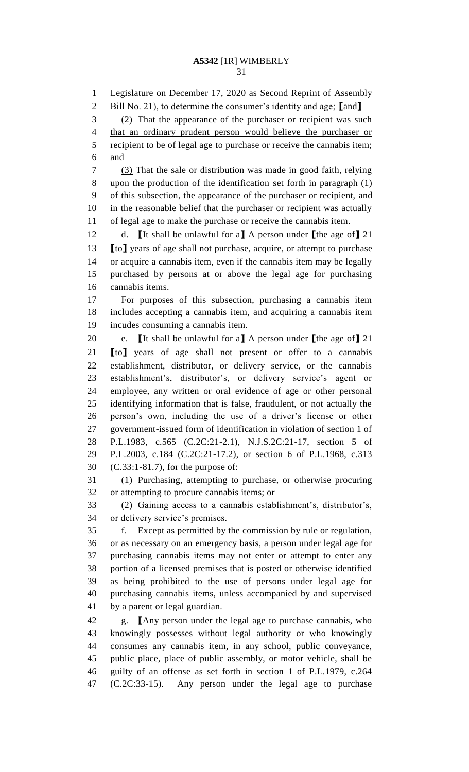Legislature on December 17, 2020 as Second Reprint of Assembly Bill No. 21), to determine the consumer's identity and age; **[**and**]** (2) That the appearance of the purchaser or recipient was such that an ordinary prudent person would believe the purchaser or recipient to be of legal age to purchase or receive the cannabis item; and (3) That the sale or distribution was made in good faith, relying upon the production of the identification set forth in paragraph (1) of this subsection, the appearance of the purchaser or recipient, and in the reasonable belief that the purchaser or recipient was actually 11 of legal age to make the purchase or receive the cannabis item. 12 d. **[**It shall be unlawful for a**]**  $\underline{A}$  person under **[**the age of**]** 21 **[**to**]** years of age shall not purchase, acquire, or attempt to purchase or acquire a cannabis item, even if the cannabis item may be legally purchased by persons at or above the legal age for purchasing cannabis items. For purposes of this subsection, purchasing a cannabis item includes accepting a cannabis item, and acquiring a cannabis item incudes consuming a cannabis item. 20 e. **[**It shall be unlawful for a**]**  $\underline{A}$  person under **[**the age of**]** 21 **[**to**]** years of age shall not present or offer to a cannabis establishment, distributor, or delivery service, or the cannabis establishment's, distributor's, or delivery service's agent or employee, any written or oral evidence of age or other personal identifying information that is false, fraudulent, or not actually the person's own, including the use of a driver's license or other government-issued form of identification in violation of section 1 of P.L.1983, c.565 (C.2C:21-2.1), N.J.S.2C:21-17, section 5 of P.L.2003, c.184 (C.2C:21-17.2), or section 6 of P.L.1968, c.313 (C.33:1-81.7), for the purpose of: (1) Purchasing, attempting to purchase, or otherwise procuring or attempting to procure cannabis items; or (2) Gaining access to a cannabis establishment's, distributor's, or delivery service's premises. f. Except as permitted by the commission by rule or regulation, or as necessary on an emergency basis, a person under legal age for purchasing cannabis items may not enter or attempt to enter any portion of a licensed premises that is posted or otherwise identified as being prohibited to the use of persons under legal age for purchasing cannabis items, unless accompanied by and supervised by a parent or legal guardian. g. **[**Any person under the legal age to purchase cannabis, who knowingly possesses without legal authority or who knowingly consumes any cannabis item, in any school, public conveyance, public place, place of public assembly, or motor vehicle, shall be guilty of an offense as set forth in section 1 of P.L.1979, c.264 (C.2C:33-15). Any person under the legal age to purchase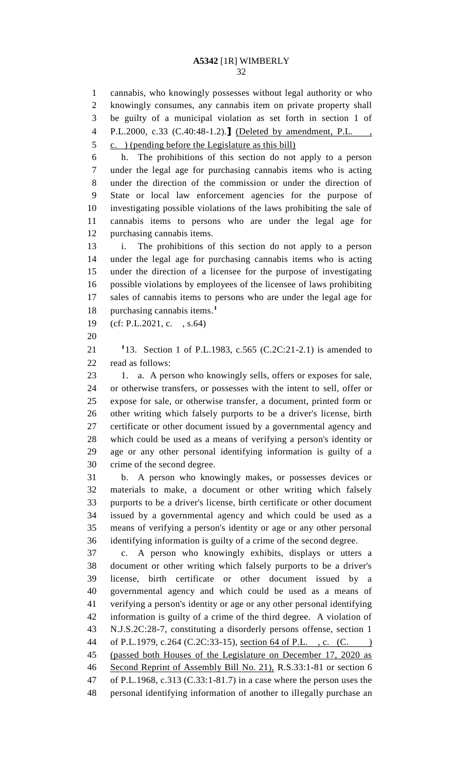cannabis, who knowingly possesses without legal authority or who knowingly consumes, any cannabis item on private property shall be guilty of a municipal violation as set forth in section 1 of P.L.2000, c.33 (C.40:48-1.2).**]** (Deleted by amendment, P.L. , c. ) (pending before the Legislature as this bill) h. The prohibitions of this section do not apply to a person under the legal age for purchasing cannabis items who is acting under the direction of the commission or under the direction of State or local law enforcement agencies for the purpose of investigating possible violations of the laws prohibiting the sale of cannabis items to persons who are under the legal age for purchasing cannabis items.

 i. The prohibitions of this section do not apply to a person under the legal age for purchasing cannabis items who is acting under the direction of a licensee for the purpose of investigating possible violations by employees of the licensee of laws prohibiting sales of cannabis items to persons who are under the legal age for purchasing cannabis items.**<sup>1</sup>** 

(cf: P.L.2021, c. , s.64)

**1** 13. Section 1 of P.L.1983, c.565 (C.2C:21-2.1) is amended to read as follows:

23 1. a. A person who knowingly sells, offers or exposes for sale, or otherwise transfers, or possesses with the intent to sell, offer or expose for sale, or otherwise transfer, a document, printed form or other writing which falsely purports to be a driver's license, birth certificate or other document issued by a governmental agency and which could be used as a means of verifying a person's identity or age or any other personal identifying information is guilty of a crime of the second degree.

 b. A person who knowingly makes, or possesses devices or materials to make, a document or other writing which falsely purports to be a driver's license, birth certificate or other document issued by a governmental agency and which could be used as a means of verifying a person's identity or age or any other personal identifying information is guilty of a crime of the second degree.

 c. A person who knowingly exhibits, displays or utters a document or other writing which falsely purports to be a driver's license, birth certificate or other document issued by a governmental agency and which could be used as a means of verifying a person's identity or age or any other personal identifying information is guilty of a crime of the third degree. A violation of N.J.S.2C:28-7, constituting a disorderly persons offense, section 1 44 of P.L.1979, c.264 (C.2C:33-15), <u>section 64 of P.L., c. (C. )</u> (passed both Houses of the Legislature on December 17, 2020 as Second Reprint of Assembly Bill No. 21), R.S.33:1-81 or section 6 of P.L.1968, c.313 (C.33:1-81.7) in a case where the person uses the personal identifying information of another to illegally purchase an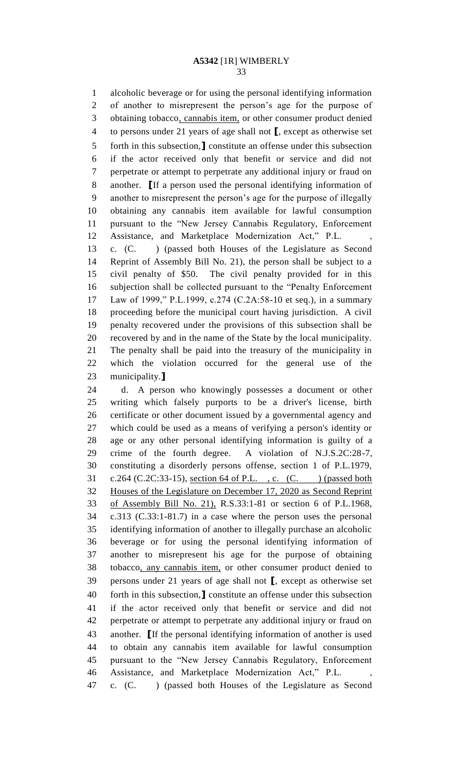alcoholic beverage or for using the personal identifying information of another to misrepresent the person's age for the purpose of 3 obtaining tobacco, cannabis item, or other consumer product denied to persons under 21 years of age shall not **[**, except as otherwise set forth in this subsection,**]** constitute an offense under this subsection if the actor received only that benefit or service and did not perpetrate or attempt to perpetrate any additional injury or fraud on another. **[**If a person used the personal identifying information of another to misrepresent the person's age for the purpose of illegally obtaining any cannabis item available for lawful consumption pursuant to the "New Jersey Cannabis Regulatory, Enforcement 12 Assistance, and Marketplace Modernization Act," P.L. c. (C. ) (passed both Houses of the Legislature as Second

 Reprint of Assembly Bill No. 21), the person shall be subject to a civil penalty of \$50. The civil penalty provided for in this subjection shall be collected pursuant to the "Penalty Enforcement Law of 1999," P.L.1999, c.274 (C.2A:58-10 et seq.), in a summary proceeding before the municipal court having jurisdiction. A civil penalty recovered under the provisions of this subsection shall be recovered by and in the name of the State by the local municipality. The penalty shall be paid into the treasury of the municipality in which the violation occurred for the general use of the municipality.**]**

 d. A person who knowingly possesses a document or other writing which falsely purports to be a driver's license, birth certificate or other document issued by a governmental agency and which could be used as a means of verifying a person's identity or age or any other personal identifying information is guilty of a crime of the fourth degree. A violation of N.J.S.2C:28-7, constituting a disorderly persons offense, section 1 of P.L.1979, 31 c.264 (C.2C:33-15), <u>section 64 of P.L.</u>, c. (C. ) (passed both Houses of the Legislature on December 17, 2020 as Second Reprint of Assembly Bill No. 21), R.S.33:1-81 or section 6 of P.L.1968, c.313 (C.33:1-81.7) in a case where the person uses the personal identifying information of another to illegally purchase an alcoholic beverage or for using the personal identifying information of another to misrepresent his age for the purpose of obtaining tobacco, any cannabis item, or other consumer product denied to persons under 21 years of age shall not **[**, except as otherwise set forth in this subsection,**]** constitute an offense under this subsection if the actor received only that benefit or service and did not perpetrate or attempt to perpetrate any additional injury or fraud on another. **[**If the personal identifying information of another is used to obtain any cannabis item available for lawful consumption pursuant to the "New Jersey Cannabis Regulatory, Enforcement 46 Assistance, and Marketplace Modernization Act," P.L. c. (C. ) (passed both Houses of the Legislature as Second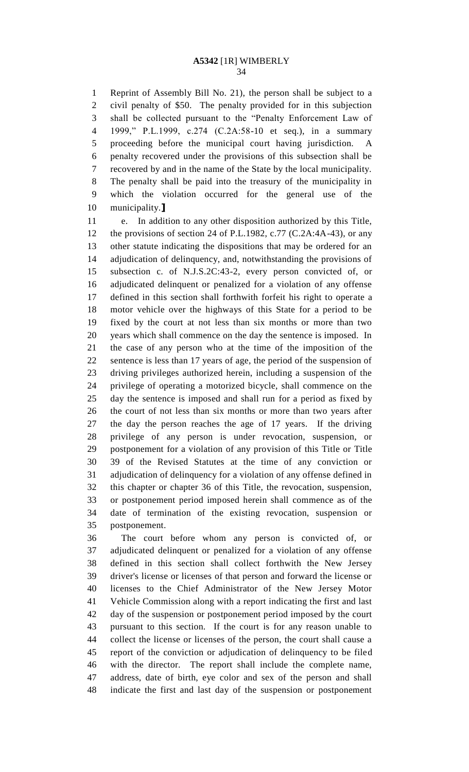Reprint of Assembly Bill No. 21), the person shall be subject to a civil penalty of \$50. The penalty provided for in this subjection shall be collected pursuant to the "Penalty Enforcement Law of 1999," P.L.1999, c.274 (C.2A:58-10 et seq.), in a summary proceeding before the municipal court having jurisdiction. A penalty recovered under the provisions of this subsection shall be recovered by and in the name of the State by the local municipality. The penalty shall be paid into the treasury of the municipality in which the violation occurred for the general use of the municipality.**]**

 e. In addition to any other disposition authorized by this Title, 12 the provisions of section 24 of P.L.1982, c.77 (C.2A:4A-43), or any other statute indicating the dispositions that may be ordered for an adjudication of delinquency, and, notwithstanding the provisions of subsection c. of N.J.S.2C:43-2, every person convicted of, or adjudicated delinquent or penalized for a violation of any offense defined in this section shall forthwith forfeit his right to operate a motor vehicle over the highways of this State for a period to be fixed by the court at not less than six months or more than two years which shall commence on the day the sentence is imposed. In the case of any person who at the time of the imposition of the sentence is less than 17 years of age, the period of the suspension of driving privileges authorized herein, including a suspension of the privilege of operating a motorized bicycle, shall commence on the day the sentence is imposed and shall run for a period as fixed by the court of not less than six months or more than two years after the day the person reaches the age of 17 years. If the driving privilege of any person is under revocation, suspension, or postponement for a violation of any provision of this Title or Title 39 of the Revised Statutes at the time of any conviction or adjudication of delinquency for a violation of any offense defined in this chapter or chapter 36 of this Title, the revocation, suspension, or postponement period imposed herein shall commence as of the date of termination of the existing revocation, suspension or postponement.

 The court before whom any person is convicted of, or adjudicated delinquent or penalized for a violation of any offense defined in this section shall collect forthwith the New Jersey driver's license or licenses of that person and forward the license or licenses to the Chief Administrator of the New Jersey Motor Vehicle Commission along with a report indicating the first and last day of the suspension or postponement period imposed by the court pursuant to this section. If the court is for any reason unable to collect the license or licenses of the person, the court shall cause a report of the conviction or adjudication of delinquency to be filed with the director. The report shall include the complete name, address, date of birth, eye color and sex of the person and shall indicate the first and last day of the suspension or postponement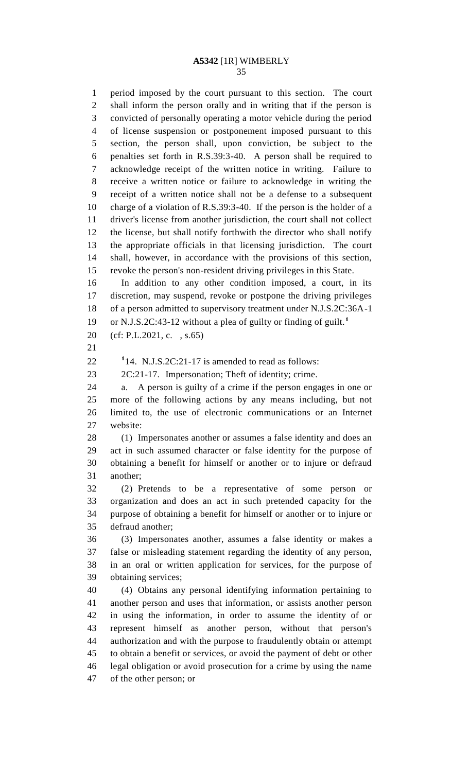period imposed by the court pursuant to this section. The court shall inform the person orally and in writing that if the person is convicted of personally operating a motor vehicle during the period of license suspension or postponement imposed pursuant to this section, the person shall, upon conviction, be subject to the penalties set forth in R.S.39:3-40. A person shall be required to acknowledge receipt of the written notice in writing. Failure to receive a written notice or failure to acknowledge in writing the receipt of a written notice shall not be a defense to a subsequent charge of a violation of R.S.39:3-40. If the person is the holder of a driver's license from another jurisdiction, the court shall not collect the license, but shall notify forthwith the director who shall notify the appropriate officials in that licensing jurisdiction. The court shall, however, in accordance with the provisions of this section, revoke the person's non-resident driving privileges in this State. In addition to any other condition imposed, a court, in its discretion, may suspend, revoke or postpone the driving privileges of a person admitted to supervisory treatment under N.J.S.2C:36A-1 or N.J.S.2C:43-12 without a plea of guilty or finding of guilt.**<sup>1</sup>** (cf: P.L.2021, c. , s.65)  $114. \text{ N.J.S.2C:21-17 is amended to read as follows:}$  2C:21-17. Impersonation; Theft of identity; crime. a. A person is guilty of a crime if the person engages in one or more of the following actions by any means including, but not limited to, the use of electronic communications or an Internet website: (1) Impersonates another or assumes a false identity and does an act in such assumed character or false identity for the purpose of obtaining a benefit for himself or another or to injure or defraud another; (2) Pretends to be a representative of some person or organization and does an act in such pretended capacity for the purpose of obtaining a benefit for himself or another or to injure or defraud another; (3) Impersonates another, assumes a false identity or makes a false or misleading statement regarding the identity of any person, in an oral or written application for services, for the purpose of obtaining services; (4) Obtains any personal identifying information pertaining to another person and uses that information, or assists another person in using the information, in order to assume the identity of or represent himself as another person, without that person's authorization and with the purpose to fraudulently obtain or attempt to obtain a benefit or services, or avoid the payment of debt or other legal obligation or avoid prosecution for a crime by using the name of the other person; or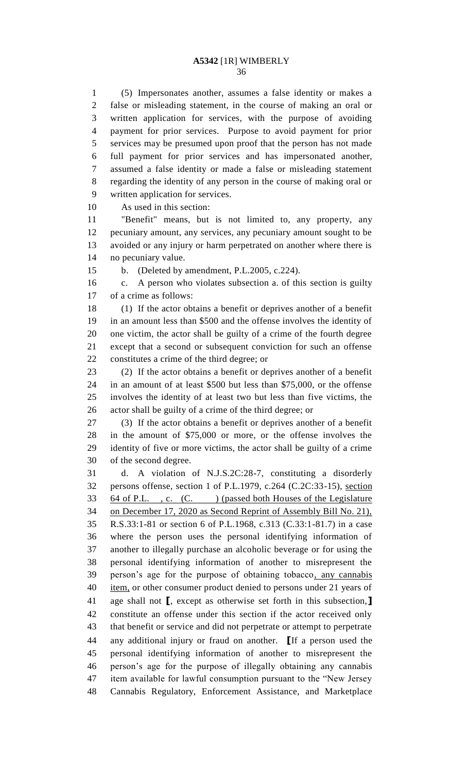(5) Impersonates another, assumes a false identity or makes a false or misleading statement, in the course of making an oral or written application for services, with the purpose of avoiding payment for prior services. Purpose to avoid payment for prior services may be presumed upon proof that the person has not made full payment for prior services and has impersonated another, assumed a false identity or made a false or misleading statement regarding the identity of any person in the course of making oral or written application for services.

As used in this section:

 "Benefit" means, but is not limited to, any property, any pecuniary amount, any services, any pecuniary amount sought to be avoided or any injury or harm perpetrated on another where there is no pecuniary value.

b. (Deleted by amendment, P.L.2005, c.224).

 c. A person who violates subsection a. of this section is guilty of a crime as follows:

 (1) If the actor obtains a benefit or deprives another of a benefit in an amount less than \$500 and the offense involves the identity of one victim, the actor shall be guilty of a crime of the fourth degree except that a second or subsequent conviction for such an offense constitutes a crime of the third degree; or

 (2) If the actor obtains a benefit or deprives another of a benefit in an amount of at least \$500 but less than \$75,000, or the offense involves the identity of at least two but less than five victims, the actor shall be guilty of a crime of the third degree; or

 (3) If the actor obtains a benefit or deprives another of a benefit in the amount of \$75,000 or more, or the offense involves the identity of five or more victims, the actor shall be guilty of a crime of the second degree.

 d. A violation of N.J.S.2C:28-7, constituting a disorderly persons offense, section 1 of P.L.1979, c.264 (C.2C:33-15), section 33 64 of P.L., c. (C. ) (passed both Houses of the Legislature on December 17, 2020 as Second Reprint of Assembly Bill No. 21), R.S.33:1-81 or section 6 of P.L.1968, c.313 (C.33:1-81.7) in a case where the person uses the personal identifying information of another to illegally purchase an alcoholic beverage or for using the personal identifying information of another to misrepresent the person's age for the purpose of obtaining tobacco, any cannabis 40 item, or other consumer product denied to persons under 21 years of age shall not **[**, except as otherwise set forth in this subsection,**]** constitute an offense under this section if the actor received only that benefit or service and did not perpetrate or attempt to perpetrate any additional injury or fraud on another. **[**If a person used the personal identifying information of another to misrepresent the person's age for the purpose of illegally obtaining any cannabis item available for lawful consumption pursuant to the "New Jersey Cannabis Regulatory, Enforcement Assistance, and Marketplace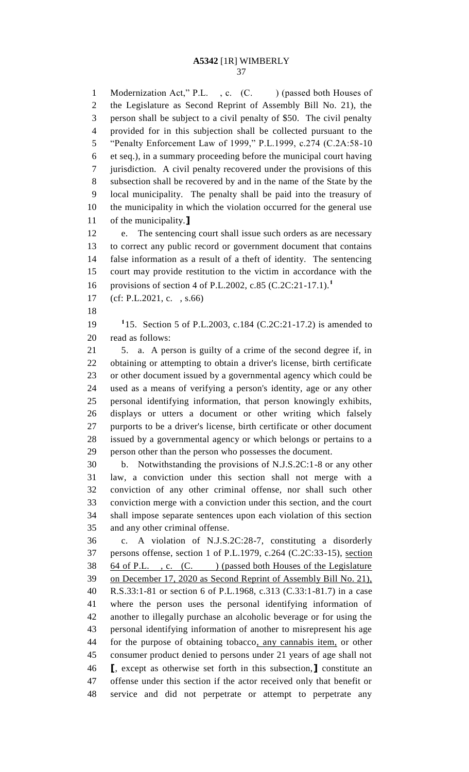1 Modernization Act," P.L., c. (C.) (passed both Houses of the Legislature as Second Reprint of Assembly Bill No. 21), the person shall be subject to a civil penalty of \$50. The civil penalty provided for in this subjection shall be collected pursuant to the "Penalty Enforcement Law of 1999," P.L.1999, c.274 (C.2A:58-10 et seq.), in a summary proceeding before the municipal court having jurisdiction. A civil penalty recovered under the provisions of this subsection shall be recovered by and in the name of the State by the local municipality. The penalty shall be paid into the treasury of the municipality in which the violation occurred for the general use of the municipality.**]**

 e. The sentencing court shall issue such orders as are necessary to correct any public record or government document that contains false information as a result of a theft of identity. The sentencing court may provide restitution to the victim in accordance with the provisions of section 4 of P.L.2002, c.85 (C.2C:21-17.1).**<sup>1</sup>** 

- (cf: P.L.2021, c. , s.66)
- 

19 <sup>1</sup>15. Section 5 of P.L.2003, c.184 (C.2C:21-17.2) is amended to read as follows:

 5. a. A person is guilty of a crime of the second degree if, in obtaining or attempting to obtain a driver's license, birth certificate or other document issued by a governmental agency which could be used as a means of verifying a person's identity, age or any other personal identifying information, that person knowingly exhibits, displays or utters a document or other writing which falsely purports to be a driver's license, birth certificate or other document issued by a governmental agency or which belongs or pertains to a person other than the person who possesses the document.

 b. Notwithstanding the provisions of N.J.S.2C:1-8 or any other law, a conviction under this section shall not merge with a conviction of any other criminal offense, nor shall such other conviction merge with a conviction under this section, and the court shall impose separate sentences upon each violation of this section and any other criminal offense.

 c. A violation of N.J.S.2C:28-7, constituting a disorderly persons offense, section 1 of P.L.1979, c.264 (C.2C:33-15), section 38 64 of P.L., c. (C.) (passed both Houses of the Legislature on December 17, 2020 as Second Reprint of Assembly Bill No. 21), R.S.33:1-81 or section 6 of P.L.1968, c.313 (C.33:1-81.7) in a case where the person uses the personal identifying information of another to illegally purchase an alcoholic beverage or for using the personal identifying information of another to misrepresent his age for the purpose of obtaining tobacco, any cannabis item, or other consumer product denied to persons under 21 years of age shall not **[**, except as otherwise set forth in this subsection,**]** constitute an offense under this section if the actor received only that benefit or service and did not perpetrate or attempt to perpetrate any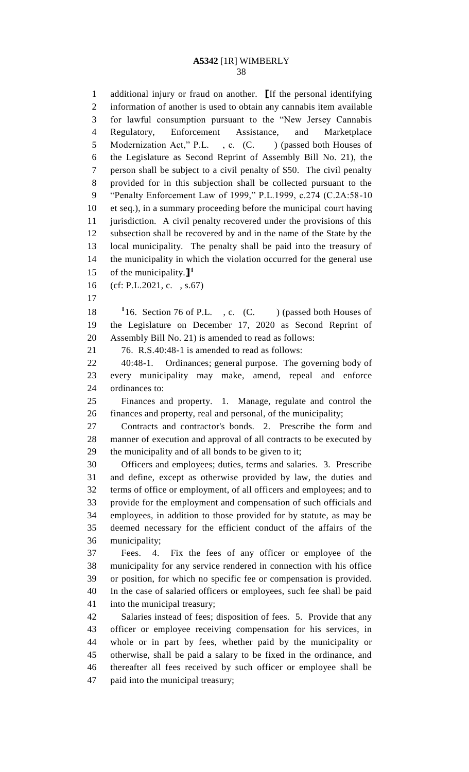additional injury or fraud on another. **[**If the personal identifying information of another is used to obtain any cannabis item available for lawful consumption pursuant to the "New Jersey Cannabis Regulatory, Enforcement Assistance, and Marketplace 5 Modernization Act," P.L., c. (C.) (passed both Houses of the Legislature as Second Reprint of Assembly Bill No. 21), the person shall be subject to a civil penalty of \$50. The civil penalty provided for in this subjection shall be collected pursuant to the "Penalty Enforcement Law of 1999," P.L.1999, c.274 (C.2A:58-10 et seq.), in a summary proceeding before the municipal court having jurisdiction. A civil penalty recovered under the provisions of this subsection shall be recovered by and in the name of the State by the local municipality. The penalty shall be paid into the treasury of the municipality in which the violation occurred for the general use of the municipality.**] 1** (cf: P.L.2021, c. , s.67) 18 <sup>1</sup>16. Section 76 of P.L., c. (C. ) (passed both Houses of the Legislature on December 17, 2020 as Second Reprint of Assembly Bill No. 21) is amended to read as follows: 76. R.S.40:48-1 is amended to read as follows: 40:48-1. Ordinances; general purpose. The governing body of every municipality may make, amend, repeal and enforce ordinances to: Finances and property. 1. Manage, regulate and control the finances and property, real and personal, of the municipality; Contracts and contractor's bonds. 2. Prescribe the form and manner of execution and approval of all contracts to be executed by the municipality and of all bonds to be given to it; Officers and employees; duties, terms and salaries. 3. Prescribe and define, except as otherwise provided by law, the duties and terms of office or employment, of all officers and employees; and to provide for the employment and compensation of such officials and employees, in addition to those provided for by statute, as may be deemed necessary for the efficient conduct of the affairs of the municipality; Fees. 4. Fix the fees of any officer or employee of the municipality for any service rendered in connection with his office or position, for which no specific fee or compensation is provided. In the case of salaried officers or employees, such fee shall be paid into the municipal treasury; Salaries instead of fees; disposition of fees. 5. Provide that any officer or employee receiving compensation for his services, in whole or in part by fees, whether paid by the municipality or otherwise, shall be paid a salary to be fixed in the ordinance, and thereafter all fees received by such officer or employee shall be paid into the municipal treasury;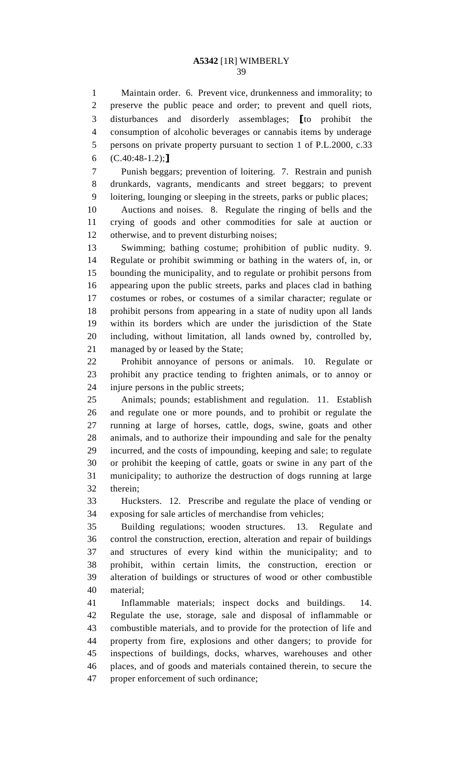Maintain order. 6. Prevent vice, drunkenness and immorality; to preserve the public peace and order; to prevent and quell riots, disturbances and disorderly assemblages; **[**to prohibit the consumption of alcoholic beverages or cannabis items by underage persons on private property pursuant to section 1 of P.L.2000, c.33 (C.40:48-1.2);**]**

 Punish beggars; prevention of loitering. 7. Restrain and punish drunkards, vagrants, mendicants and street beggars; to prevent loitering, lounging or sleeping in the streets, parks or public places;

 Auctions and noises. 8. Regulate the ringing of bells and the crying of goods and other commodities for sale at auction or otherwise, and to prevent disturbing noises;

 Swimming; bathing costume; prohibition of public nudity. 9. Regulate or prohibit swimming or bathing in the waters of, in, or bounding the municipality, and to regulate or prohibit persons from appearing upon the public streets, parks and places clad in bathing costumes or robes, or costumes of a similar character; regulate or prohibit persons from appearing in a state of nudity upon all lands within its borders which are under the jurisdiction of the State including, without limitation, all lands owned by, controlled by, managed by or leased by the State;

 Prohibit annoyance of persons or animals. 10. Regulate or prohibit any practice tending to frighten animals, or to annoy or injure persons in the public streets;

 Animals; pounds; establishment and regulation. 11. Establish and regulate one or more pounds, and to prohibit or regulate the running at large of horses, cattle, dogs, swine, goats and other animals, and to authorize their impounding and sale for the penalty incurred, and the costs of impounding, keeping and sale; to regulate or prohibit the keeping of cattle, goats or swine in any part of the municipality; to authorize the destruction of dogs running at large therein;

 Hucksters. 12. Prescribe and regulate the place of vending or exposing for sale articles of merchandise from vehicles;

 Building regulations; wooden structures. 13. Regulate and control the construction, erection, alteration and repair of buildings and structures of every kind within the municipality; and to prohibit, within certain limits, the construction, erection or alteration of buildings or structures of wood or other combustible material;

 Inflammable materials; inspect docks and buildings. 14. Regulate the use, storage, sale and disposal of inflammable or combustible materials, and to provide for the protection of life and property from fire, explosions and other dangers; to provide for inspections of buildings, docks, wharves, warehouses and other places, and of goods and materials contained therein, to secure the proper enforcement of such ordinance;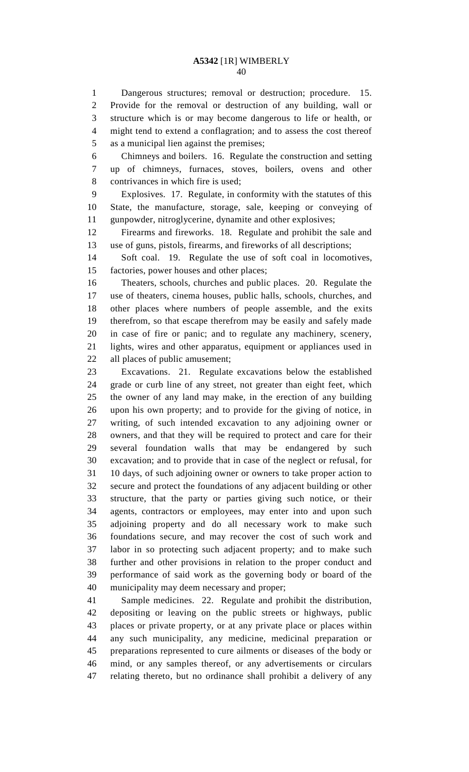Dangerous structures; removal or destruction; procedure. 15. Provide for the removal or destruction of any building, wall or structure which is or may become dangerous to life or health, or might tend to extend a conflagration; and to assess the cost thereof as a municipal lien against the premises;

 Chimneys and boilers. 16. Regulate the construction and setting up of chimneys, furnaces, stoves, boilers, ovens and other contrivances in which fire is used;

 Explosives. 17. Regulate, in conformity with the statutes of this State, the manufacture, storage, sale, keeping or conveying of gunpowder, nitroglycerine, dynamite and other explosives;

 Firearms and fireworks. 18. Regulate and prohibit the sale and use of guns, pistols, firearms, and fireworks of all descriptions;

 Soft coal. 19. Regulate the use of soft coal in locomotives, factories, power houses and other places;

 Theaters, schools, churches and public places. 20. Regulate the use of theaters, cinema houses, public halls, schools, churches, and other places where numbers of people assemble, and the exits therefrom, so that escape therefrom may be easily and safely made in case of fire or panic; and to regulate any machinery, scenery, lights, wires and other apparatus, equipment or appliances used in all places of public amusement;

 Excavations. 21. Regulate excavations below the established grade or curb line of any street, not greater than eight feet, which the owner of any land may make, in the erection of any building upon his own property; and to provide for the giving of notice, in writing, of such intended excavation to any adjoining owner or owners, and that they will be required to protect and care for their several foundation walls that may be endangered by such excavation; and to provide that in case of the neglect or refusal, for 10 days, of such adjoining owner or owners to take proper action to secure and protect the foundations of any adjacent building or other structure, that the party or parties giving such notice, or their agents, contractors or employees, may enter into and upon such adjoining property and do all necessary work to make such foundations secure, and may recover the cost of such work and labor in so protecting such adjacent property; and to make such further and other provisions in relation to the proper conduct and performance of said work as the governing body or board of the municipality may deem necessary and proper;

 Sample medicines. 22. Regulate and prohibit the distribution, depositing or leaving on the public streets or highways, public places or private property, or at any private place or places within any such municipality, any medicine, medicinal preparation or preparations represented to cure ailments or diseases of the body or mind, or any samples thereof, or any advertisements or circulars relating thereto, but no ordinance shall prohibit a delivery of any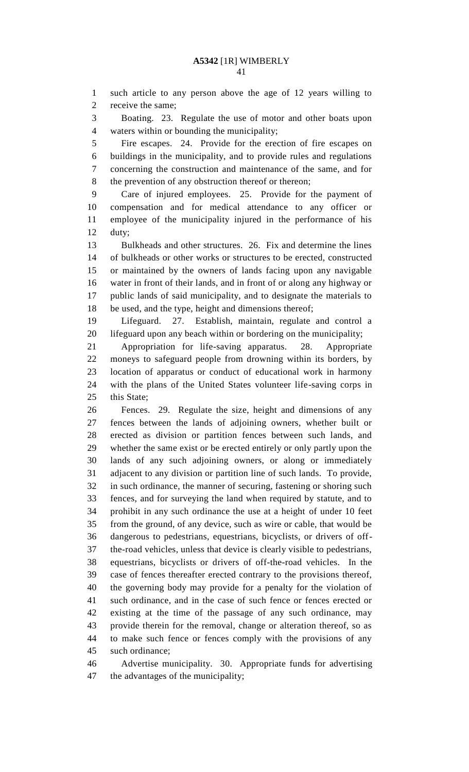such article to any person above the age of 12 years willing to receive the same;

 Boating. 23. Regulate the use of motor and other boats upon waters within or bounding the municipality;

 Fire escapes. 24. Provide for the erection of fire escapes on buildings in the municipality, and to provide rules and regulations concerning the construction and maintenance of the same, and for the prevention of any obstruction thereof or thereon;

 Care of injured employees. 25. Provide for the payment of compensation and for medical attendance to any officer or employee of the municipality injured in the performance of his duty;

 Bulkheads and other structures. 26. Fix and determine the lines of bulkheads or other works or structures to be erected, constructed or maintained by the owners of lands facing upon any navigable water in front of their lands, and in front of or along any highway or public lands of said municipality, and to designate the materials to be used, and the type, height and dimensions thereof;

 Lifeguard. 27. Establish, maintain, regulate and control a lifeguard upon any beach within or bordering on the municipality;

 Appropriation for life-saving apparatus. 28. Appropriate moneys to safeguard people from drowning within its borders, by location of apparatus or conduct of educational work in harmony with the plans of the United States volunteer life-saving corps in 25 this State;

 Fences. 29. Regulate the size, height and dimensions of any fences between the lands of adjoining owners, whether built or erected as division or partition fences between such lands, and whether the same exist or be erected entirely or only partly upon the lands of any such adjoining owners, or along or immediately adjacent to any division or partition line of such lands. To provide, in such ordinance, the manner of securing, fastening or shoring such fences, and for surveying the land when required by statute, and to prohibit in any such ordinance the use at a height of under 10 feet from the ground, of any device, such as wire or cable, that would be dangerous to pedestrians, equestrians, bicyclists, or drivers of off- the-road vehicles, unless that device is clearly visible to pedestrians, equestrians, bicyclists or drivers of off-the-road vehicles. In the case of fences thereafter erected contrary to the provisions thereof, the governing body may provide for a penalty for the violation of such ordinance, and in the case of such fence or fences erected or existing at the time of the passage of any such ordinance, may provide therein for the removal, change or alteration thereof, so as to make such fence or fences comply with the provisions of any such ordinance;

 Advertise municipality. 30. Appropriate funds for advertising the advantages of the municipality;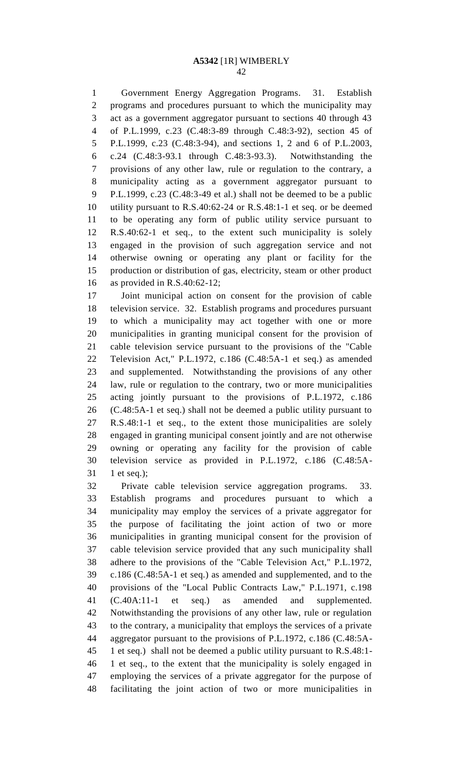Government Energy Aggregation Programs. 31. Establish programs and procedures pursuant to which the municipality may act as a government aggregator pursuant to sections 40 through 43 of P.L.1999, c.23 (C.48:3-89 through C.48:3-92), section 45 of P.L.1999, c.23 (C.48:3-94), and sections 1, 2 and 6 of P.L.2003, c.24 (C.48:3-93.1 through C.48:3-93.3). Notwithstanding the provisions of any other law, rule or regulation to the contrary, a municipality acting as a government aggregator pursuant to P.L.1999, c.23 (C.48:3-49 et al.) shall not be deemed to be a public utility pursuant to R.S.40:62-24 or R.S.48:1-1 et seq. or be deemed to be operating any form of public utility service pursuant to R.S.40:62-1 et seq., to the extent such municipality is solely engaged in the provision of such aggregation service and not otherwise owning or operating any plant or facility for the production or distribution of gas, electricity, steam or other product as provided in R.S.40:62-12;

 Joint municipal action on consent for the provision of cable television service. 32. Establish programs and procedures pursuant to which a municipality may act together with one or more municipalities in granting municipal consent for the provision of cable television service pursuant to the provisions of the "Cable Television Act," P.L.1972, c.186 (C.48:5A-1 et seq.) as amended and supplemented. Notwithstanding the provisions of any other law, rule or regulation to the contrary, two or more municipalities acting jointly pursuant to the provisions of P.L.1972, c.186 (C.48:5A-1 et seq.) shall not be deemed a public utility pursuant to R.S.48:1-1 et seq., to the extent those municipalities are solely engaged in granting municipal consent jointly and are not otherwise owning or operating any facility for the provision of cable television service as provided in P.L.1972, c.186 (C.48:5A-1 et seq.);

 Private cable television service aggregation programs. 33. Establish programs and procedures pursuant to which a municipality may employ the services of a private aggregator for the purpose of facilitating the joint action of two or more municipalities in granting municipal consent for the provision of cable television service provided that any such municipality shall adhere to the provisions of the "Cable Television Act," P.L.1972, c.186 (C.48:5A-1 et seq.) as amended and supplemented, and to the provisions of the "Local Public Contracts Law," P.L.1971, c.198 (C.40A:11-1 et seq.) as amended and supplemented. Notwithstanding the provisions of any other law, rule or regulation to the contrary, a municipality that employs the services of a private aggregator pursuant to the provisions of P.L.1972, c.186 (C.48:5A- 1 et seq.) shall not be deemed a public utility pursuant to R.S.48:1- 1 et seq., to the extent that the municipality is solely engaged in employing the services of a private aggregator for the purpose of facilitating the joint action of two or more municipalities in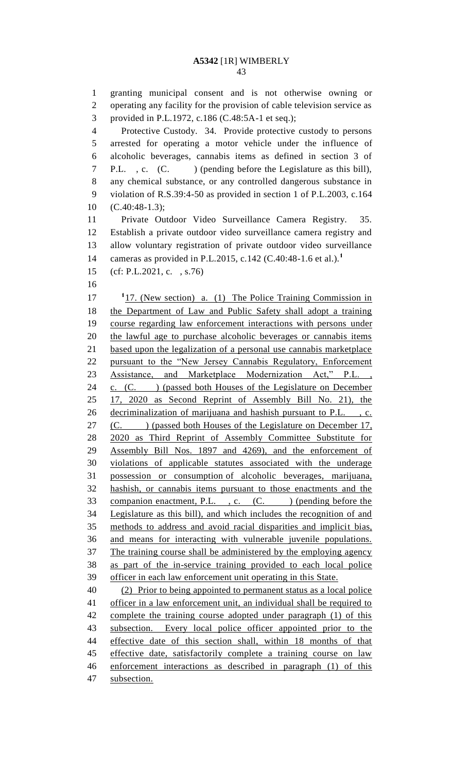granting municipal consent and is not otherwise owning or operating any facility for the provision of cable television service as provided in P.L.1972, c.186 (C.48:5A-1 et seq.); Protective Custody. 34. Provide protective custody to persons arrested for operating a motor vehicle under the influence of alcoholic beverages, cannabis items as defined in section 3 of P.L. , c. (C. ) (pending before the Legislature as this bill), any chemical substance, or any controlled dangerous substance in violation of R.S.39:4-50 as provided in section 1 of P.L.2003, c.164 (C.40:48-1.3); Private Outdoor Video Surveillance Camera Registry. 35. Establish a private outdoor video surveillance camera registry and allow voluntary registration of private outdoor video surveillance cameras as provided in P.L.2015, c.142 (C.40:48-1.6 et al.).**<sup>1</sup>** (cf: P.L.2021, c. , s.76) 17 <sup>1</sup> <sup>1</sup> 17. (New section) a. (1) The Police Training Commission in the Department of Law and Public Safety shall adopt a training course regarding law enforcement interactions with persons under the lawful age to purchase alcoholic beverages or cannabis items based upon the legalization of a personal use cannabis marketplace pursuant to the "New Jersey Cannabis Regulatory, Enforcement Assistance, and Marketplace Modernization Act," P.L. , 24 c. (C. ) (passed both Houses of the Legislature on December 17, 2020 as Second Reprint of Assembly Bill No. 21), the decriminalization of marijuana and hashish pursuant to P.L. , c. 27 (C. ) (passed both Houses of the Legislature on December 17, 2020 as Third Reprint of Assembly Committee Substitute for Assembly Bill Nos. 1897 and 4269), and the enforcement of violations of applicable statutes associated with the underage possession or consumption of alcoholic beverages, marijuana, hashish, or cannabis items pursuant to those enactments and the 33 companion enactment, P.L., c. (C.) (pending before the Legislature as this bill), and which includes the recognition of and methods to address and avoid racial disparities and implicit bias, and means for interacting with vulnerable juvenile populations. The training course shall be administered by the employing agency as part of the in-service training provided to each local police officer in each law enforcement unit operating in this State. (2) Prior to being appointed to permanent status as a local police 41 officer in a law enforcement unit, an individual shall be required to 42 complete the training course adopted under paragraph (1) of this subsection. Every local police officer appointed prior to the effective date of this section shall, within 18 months of that 45 effective date, satisfactorily complete a training course on law enforcement interactions as described in paragraph (1) of this

subsection.